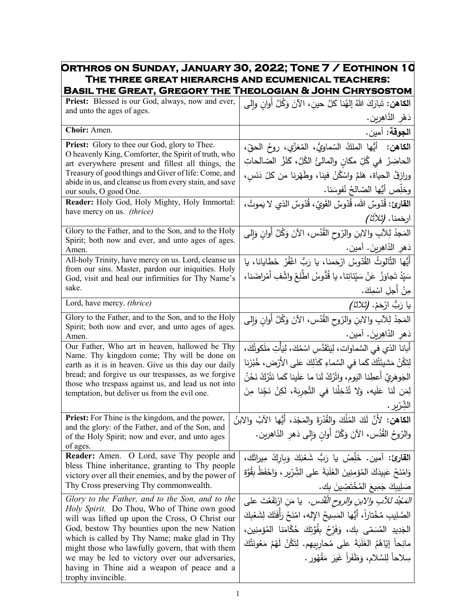## **Orthros on Sunday, January 30, 2022; Tone 7 / Eothinon 10 The three great hierarchs and ecumenical teachers: Basil the Great, Gregory the Theologian & John Chrysostom**

| DASIL INE GREAI, GREGORI INI                                                                                                                                                                                                                                                                                                                                                                                                 | = THEOLOGIAN W JOHN CHRISOSTOM                                                                                                                                                                                                                                                                                                                                         |
|------------------------------------------------------------------------------------------------------------------------------------------------------------------------------------------------------------------------------------------------------------------------------------------------------------------------------------------------------------------------------------------------------------------------------|------------------------------------------------------------------------------------------------------------------------------------------------------------------------------------------------------------------------------------------------------------------------------------------------------------------------------------------------------------------------|
| Priest: Blessed is our God, always, now and ever,                                                                                                                                                                                                                                                                                                                                                                            | ا <b>لكاهن:</b> تَبارَكَ اللهُ إلهُنا كلَّ حينِ، الآنَ وَكُلَّ أُوانِ وإِلـى                                                                                                                                                                                                                                                                                           |
| and unto the ages of ages.                                                                                                                                                                                                                                                                                                                                                                                                   | دَهْرِ الدَّاهِرِينِ.                                                                                                                                                                                                                                                                                                                                                  |
| Choir: Amen.                                                                                                                                                                                                                                                                                                                                                                                                                 | ا <b>لجوقة:</b> آمين.                                                                                                                                                                                                                                                                                                                                                  |
| Priest: Glory to thee our God, glory to Thee.<br>O heavenly King, Comforter, the Spirit of truth, who<br>art everywhere present and fillest all things, the<br>Treasury of good things and Giver of life: Come, and<br>abide in us, and cleanse us from every stain, and save<br>our souls, O good One.                                                                                                                      | ا <b>لكاهن:</b> أيُّها الملكُ السّماويُّ، المُعَزّي، روحُ الحقّ،<br>الحاضِرُ  في كُلِّ مكانِ والمالئُ الكُلَّ، كَنْزُ  الصّالحاتِ<br>ورازِقُ الحياة، هَلمَّ واسْكُنْ فينا، وطَهّرنا من كلّ دَنَسٍ،<br>وخلِّص أَيُّها الصّالحُ نُفوسَنا.                                                                                                                                |
| Reader: Holy God, Holy Mighty, Holy Immortal:                                                                                                                                                                                                                                                                                                                                                                                | ا <b>لقارئ:</b> قُدّوسٌ الله، قُدّوسٌ القَويّ، قُدّوسٌ الذي لا يَموتُ،                                                                                                                                                                                                                                                                                                 |
| have mercy on us. <i>(thrice)</i>                                                                                                                                                                                                                                                                                                                                                                                            | ارحَمنا. <i>(ثلاثا)</i>                                                                                                                                                                                                                                                                                                                                                |
| Glory to the Father, and to the Son, and to the Holy<br>Spirit; both now and ever, and unto ages of ages.<br>Amen.<br>All-holy Trinity, have mercy on us. Lord, cleanse us                                                                                                                                                                                                                                                   | المَجِدُ لِلآبِ والابنِ والرّوحِ القُدُسِ، الآنَ وَكُلَّ أَوانٍ وَإِلى<br>دَهرِ الدّاهِرينَ. آمين.<br>أَيُّها الثَّالوثُ القُدّوسُ ارْحَمنا، يا رَبُّ اغْفُرْ خَطايانا، يا                                                                                                                                                                                             |
| from our sins. Master, pardon our iniquities. Holy<br>God, visit and heal our infirmities for Thy Name's                                                                                                                                                                                                                                                                                                                     | سَيّدُ تَجاوَزْ ۚ عَنْ سَيّئَاتِنا، يا قُدُّوسُ اطّلِعْ واشْفِ أَمْراضَنا،                                                                                                                                                                                                                                                                                             |
| sake.                                                                                                                                                                                                                                                                                                                                                                                                                        | مِنْ أُجلِ اسْمِكَ.                                                                                                                                                                                                                                                                                                                                                    |
| Lord, have mercy. (thrice)                                                                                                                                                                                                                                                                                                                                                                                                   | يا رَبُّ ارْحَمْ. <i>(ثلاثا)</i>                                                                                                                                                                                                                                                                                                                                       |
| Glory to the Father, and to the Son, and to the Holy<br>Spirit; both now and ever, and unto ages of ages.<br>Amen.                                                                                                                                                                                                                                                                                                           | المَجدُ لِلآبِ والابنِ والرّوحِ القُدُسِ، الآنَ وَكُلَّ أَوانِ وَإِلَى<br>دَهرِ الدّاهِرينَ. آمين.                                                                                                                                                                                                                                                                     |
| Our Father, Who art in heaven, hallowed be Thy<br>Name. Thy kingdom come; Thy will be done on<br>earth as it is in heaven. Give us this day our daily<br>bread; and forgive us our trespasses, as we forgive<br>those who trespass against us, and lead us not into<br>temptation, but deliver us from the evil one.                                                                                                         | أبانا الذي في السَّماوات، لِيَتَّقَدَّسِ اسْمُكَ، لِيَأْتِ مَلَكوتُكَ،<br>لِتَكُنْ مَشيئَتُكَ كَما في السَّماءِ كَذَلِكَ عَلى الأَرْض، خُبْزَنا<br>الجَوهَريَّ أَعطِنا اليَومِ، واتْرُكْ لَنا ما عَلَينا كَما نَتْرُكُ نَحْنُ<br>لِمَن لَنا عَلَيه، وَلا تُذْخِلْنا في التَّجرِبَة، لَكِنْ نَجِّنا مِنَ<br>الشِّرِّيرِ .                                               |
| <b>Priest:</b> For Thine is the kingdom, and the power,<br>and the glory: of the Father, and of the Son, and<br>of the Holy Spirit; now and ever, and unto ages<br>of ages.                                                                                                                                                                                                                                                  | ا <b>لكاهن:</b> لأَنَّ لَكَ المُلْكَ والقُدْرَةَ والمَجْدَ، أَيُّها الآبُ والابنُ<br>والرّوحُ القُدُس، الآنَ وَكُلَّ أَوانِ وَإِلـى دَهرِ الذّاهِرين.                                                                                                                                                                                                                  |
| <b>Reader:</b> Amen. O Lord, save Thy people and<br>bless Thine inheritance, granting to Thy people<br>victory over all their enemies, and by the power of<br>Thy Cross preserving Thy commonwealth.                                                                                                                                                                                                                         | القارئ: أمين. خَلِّصْ يا رَبُّ شَعْبَكَ وَبِارِكْ مِيراثَك،<br>وَامْنَحْ عَبِيدَكَ المُؤمِنِينَ الغَلَبَةَ على الشِّرّيرِ ، وَاحْفَظْ بِقُوَّةِ<br>صَلِيبِكَ جَمِيعَ الْمُخْتَصِّينَ بِك.                                                                                                                                                                              |
| Glory to the Father, and to the Son, and to the<br>Holy Spirit. Do Thou, Who of Thine own good<br>will was lifted up upon the Cross, O Christ our<br>God, bestow Thy bounties upon the new Nation<br>which is called by Thy Name; make glad in Thy<br>might those who lawfully govern, that with them<br>we may be led to victory over our adversaries,<br>having in Thine aid a weapon of peace and a<br>trophy invincible. | <i>المَجْدُ للأبِ والابنِ والروحِ الْقُدْس.</i> يا مَنِ ارْتَفَعْتَ على<br>الصَّلِيبِ مُخْتاراً، أَيُّها المَسِيحُ اﻹله، امْنَحْ رَأَفَتَكَ لِشَعْبِكَ<br>الْجَدِيدِ الْمُسَمّى بِكَ، وَفَرِّحْ بِقُوَّتِكَ حُكَّامَنا الْمُؤْمِنِين،<br>مانِحاً إِيّاهُمُ الغَلَبَةَ على مُحارِبِيهِم. لِتَكُنْ لَهُمْ مَعُونَتُكَ<br>سِلاحاً لِلسَّلامِ، وَظَفَراً غَيرَ مَقْهُورٍ . |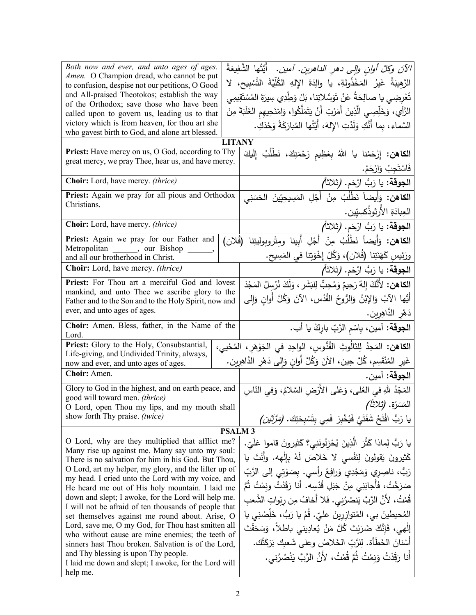| Both now and ever, and unto ages of ages.                                                              | الآنَ وكلَّ أُولنِ وإلى دهرِ الداهرينِ. آمينِ. ۖ أَيَّتُها الشَّفِيعَةُ                                  |  |  |
|--------------------------------------------------------------------------------------------------------|----------------------------------------------------------------------------------------------------------|--|--|
| Amen. O Champion dread, who cannot be put<br>to confusion, despise not our petitions, O Good           | الرَّهِيبَةُ غَيرُ  المَخْذُولةِ،  يا  والِدَةَ  الإِلهِ  الكُلِّيَّةَ  التَّسْبِيح،   لا                |  |  |
| and All-praised Theotokos; establish the way                                                           | تُعْرِضِي يا صالِحَةُ عَنْ تَوَسُّلاتِنا، بَلْ وَطِّدِي سِيرَةَ المُسْتَقِيمِي                           |  |  |
| of the Orthodox; save those who have been                                                              |                                                                                                          |  |  |
| called upon to govern us, leading us to that<br>victory which is from heaven, for thou art she         | الرَّأْيِ، وَخَلِّصِي الَّذِينَ أَمَرْتِ أَنْ يَتَمَلَّكُوا، وَامْنَحِيهِم الْغَلَبَةَ مِنَ              |  |  |
| who gavest birth to God, and alone art blessed.                                                        | السَّماء، بِما أنَّكِ وَلَدْتِ الإِلهَ، أَيَّتُها المُبارَكَةُ وَحْدَكِ.                                 |  |  |
|                                                                                                        | <b>LITANY</b>                                                                                            |  |  |
| Priest: Have mercy on us, O God, according to Thy                                                      | الكاهن: إِرْحَمْنا يا اللهُ بِعَظِيمِ رَحْمَتِكَ، نَطْلُبُ إِلَيكَ                                       |  |  |
| great mercy, we pray Thee, hear us, and have mercy.                                                    | فَاسْتَجِبْ وَارْحَمْ.                                                                                   |  |  |
| Choir: Lord, have mercy. (thrice)                                                                      | ا <b>لجوقة:</b> يا رَبُّ ارْحَم. (ثلاثاً <i>)</i>                                                        |  |  |
| Priest: Again we pray for all pious and Orthodox                                                       | ا <b>لكاهن:</b> وَأَيضاً نَطْلُبُ مِنْ أَجْلِ المَسِيحِيِّينَ الحَسَنِي                                  |  |  |
| Christians.                                                                                            | العِبادَةِ الأَرثوذُكسِيّين.                                                                             |  |  |
| Choir: Lord, have mercy. (thrice)                                                                      | ا <b>لجوقة:</b> يا رَبُّ ارْحَم. (ثلاثاً)                                                                |  |  |
| Priest: Again we pray for our Father and<br>Metropolitan, our Bishop                                   | الكاهن: وَأَيضاً نَطْلُبُ مِنْ أَجْلِ أَبِينا ومِتْروبِولِيتِنا (فُلان)                                  |  |  |
| and all our brotherhood in Christ.                                                                     | ورَئِيسِ كَهَنَتِنا (فُلان)، وَكُلِّ إِخْوَتِنا في المَسِيحِ.                                            |  |  |
| Choir: Lord, have mercy. (thrice)                                                                      | ا <b>لجوقة:</b> يا رَبُّ ارْحَم. (ثلاثاً <i>)</i>                                                        |  |  |
| Priest: For Thou art a merciful God and lovest                                                         | ا <b>لكاهن:</b> لأَنَّكَ إلهٌ رَحِيمٌ وَمُحِبٌّ لِلبَشَرِ ، وَلَكَ نُرْسِلُ المَجْدَ                     |  |  |
| mankind, and unto Thee we ascribe glory to the                                                         | أَيُّها الآبُ وَالإِبْنُ وَالرُّوحُ الْقُدُسِ، الآنَ وَكُلَّ أُوانِ وَإِلَى                              |  |  |
| Father and to the Son and to the Holy Spirit, now and<br>ever, and unto ages of ages.                  |                                                                                                          |  |  |
|                                                                                                        | دَهْرِ الدَّاهِرِينِ.                                                                                    |  |  |
|                                                                                                        |                                                                                                          |  |  |
| Choir: Amen. Bless, father, in the Name of the<br>Lord.                                                | ا <b>لجوقة:</b> آمين، بِاسْم الزَّبِّ بارِكْ يا أب.                                                      |  |  |
| Priest: Glory to the Holy, Consubstantial,                                                             |                                                                                                          |  |  |
| Life-giving, and Undivided Trinity, always,                                                            | ا <b>لكاهن:</b> المَجدُ لِلثالُوثِ القُدُّوسِ، الواحِدِ في الجَوْهَرِ ، المُحْيي،                        |  |  |
| now and ever, and unto ages of ages.<br>Choir: Amen.                                                   | غَيرِ المُنْقَسِم، كُلَّ حِين، الآنَ وَكُلَّ أُوانِ وَإِلى دَهْرِ الدَّاهِرِين.<br>ا <b>لجوقة:</b> آمين. |  |  |
| Glory to God in the highest, and on earth peace, and                                                   | المَجْدُ للهِ في العُلى، وَعَلى الأَرْضِ السَّلامُ، وَفي النَّاسِ                                        |  |  |
| good will toward men. (thrice)                                                                         |                                                                                                          |  |  |
| O Lord, open Thou my lips, and my mouth shall<br>show forth Thy praise. (twice)                        | المَسَرّة. <i>(ثلاثاً)</i>                                                                               |  |  |
|                                                                                                        | يا رَبُّ افْتَحْ شَفَتَيَّ فَيُخْبِرَ ۖ فَمِي بِتَسْبِحَتِكَ. (مَرَّتْي <i>ن)</i>                        |  |  |
| O Lord, why are they multiplied that afflict me?                                                       | <b>PSALM3</b>                                                                                            |  |  |
| Many rise up against me. Many say unto my soul:                                                        | يا رَبُّ لِماذا كَثَرَ  الَّذِينَ يُحْزِنُونَنِي؟ كَثيرونَ قاموا عَلَيّ.                                 |  |  |
| There is no salvation for him in his God. But Thou,                                                    | كَثيرونَ يَقولونَ لِنَفْسى لا خَلاصَ لَهُ بِإِلْهِه. وأَنْتَ يا                                          |  |  |
| O Lord, art my helper, my glory, and the lifter up of                                                  | رَبُّ، ناصِرِي وَمَجْدِي وَرافِعُ رأسي. بِصَوْتِي إِلَى الرَّبِّ                                         |  |  |
| my head. I cried unto the Lord with my voice, and<br>He heard me out of His holy mountain. I laid me   | صَرَخْتُ، فَأَجابَنِي مِنْ جَبَلِ قُدْسِه. أنا رَقَدْتُ ونِمْتُ ثُمَّ                                    |  |  |
| down and slept; I awoke, for the Lord will help me.                                                    |                                                                                                          |  |  |
| I will not be afraid of ten thousands of people that                                                   | قُمْتُ، لأَنَّ الرَّبَّ يَنصُرُنِي. فَلا أخافُ مِن رِبْواتِ الشَّعبِ                                     |  |  |
| set themselves against me round about. Arise, O                                                        | المُحيطينَ بي، المُتوازريِنَ عليّ. قُمْ يا رَبُّ، خَلِّصْنِي يا                                          |  |  |
| Lord, save me, O my God, for Thou hast smitten all<br>who without cause are mine enemies; the teeth of | إِلْهِي، فَإِنَّكَ ضَرَبْتَ كُلَّ مَنْ يُعادِيني باطْلاً، وَسَحَقْتَ                                     |  |  |
| sinners hast Thou broken. Salvation is of the Lord,                                                    | أَسْنانَ الخَطَأَة. لِلرَّبِّ الخَلاصُ وعلى شَعبك بَرَكَتُك.                                             |  |  |
| and Thy blessing is upon Thy people.<br>I laid me down and slept; I awoke, for the Lord will           | أنا رَقَدْتُ وَنِمْتُ ثُمَّ قُمْتُ، لأَنَّ الرَّبَّ يَنْصُرُني.                                          |  |  |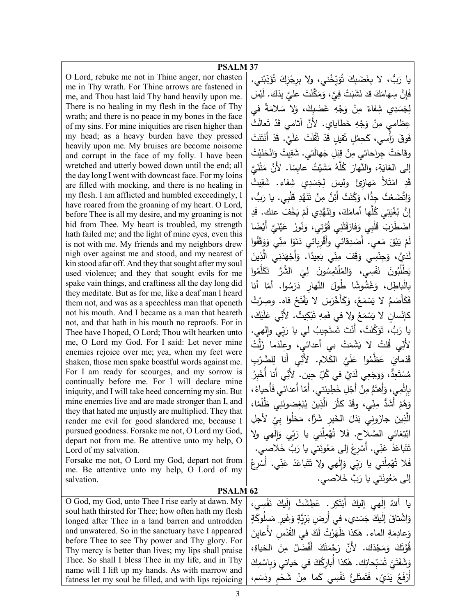| O Lord, rebuke me not in Thine anger, nor chasten<br>يا رَبُّ، لا بِغَضَبِكَ تُوَبِّخْني، ولا بِرِجْزِكَ تُؤَدِّبْني.<br>me in Thy wrath. For Thine arrows are fastened in<br>فَإِنَّ سِهامَكَ قد نَشَبَتْ فِيَّ، وَمَكَّنْتَ عليَّ يدَك. لَيْسَ<br>me, and Thou hast laid Thy hand heavily upon me.<br>There is no healing in my flesh in the face of Thy<br>لِجَسَدِي شِفاءٌ مِنْ وَجْهِ غَضَبِكَ، وَلا سَلامَةٌ في<br>wrath; and there is no peace in my bones in the face<br>عِظامي مِنْ وَجْهِ خَطاياي. لأَنَّ آثامي قَدْ تَعالَتْ<br>of my sins. For mine iniquities are risen higher than<br>my head; as a heavy burden have they pressed<br>فَوقَ رَأْسي، كَحِمْلِ ثَقيلِ قَدْ ثَقُلَتْ عَلَيَّ. قَدْ أَنْتَنَتْ<br>heavily upon me. My bruises are become noisome<br>وقاحَتْ جِراحاتي مِنْ قِبَلِ جَهالَتي. شَقِيتُ وَانْحَنَيْتُ<br>and corrupt in the face of my folly. I have been<br>wretched and utterly bowed down until the end; all<br>إلى الغايَةِ، والنَّهارَ كُلَّهُ مَشَيْتُ عابِسًا. لأنَّ مَتْنَيَّ<br>the day long I went with downcast face. For my loins<br>قَدِ امْتَلاً مَهازِئَ وليسَ لِجَسَدِي شِفاء. شَقِيتُ<br>are filled with mocking, and there is no healing in<br>my flesh. I am afflicted and humbled exceedingly, I<br>وَاتَّضَعْتُ جِدًّا، وَكُنْتُ أَئِنُّ مِنْ تَنَهُّدِ قَلْبِي. يا رَبُّ،<br>have roared from the groaning of my heart. O Lord,<br>إِنَّ بُغْيَتِي كُلُّها أَمامَكَ، وتَنَهُّدِي لَمْ يَخْفَ عنك. قَدِ<br>before Thee is all my desire, and my groaning is not<br>hid from Thee. My heart is troubled, my strength<br>اضْطَرَبَ قَلْبِي وَفارَقَتْنِي قُوَّتِي، وَنُورُ عَيْنَيَّ أَيْضًا |  |
|------------------------------------------------------------------------------------------------------------------------------------------------------------------------------------------------------------------------------------------------------------------------------------------------------------------------------------------------------------------------------------------------------------------------------------------------------------------------------------------------------------------------------------------------------------------------------------------------------------------------------------------------------------------------------------------------------------------------------------------------------------------------------------------------------------------------------------------------------------------------------------------------------------------------------------------------------------------------------------------------------------------------------------------------------------------------------------------------------------------------------------------------------------------------------------------------------------------------------------------------------------------------------------------------------------------------------------------------------------------------------------------------------------------------------------------------------------------------------------------------------------------------------------------------------------------------------------------------------------------------------------------------------|--|
|                                                                                                                                                                                                                                                                                                                                                                                                                                                                                                                                                                                                                                                                                                                                                                                                                                                                                                                                                                                                                                                                                                                                                                                                                                                                                                                                                                                                                                                                                                                                                                                                                                                      |  |
|                                                                                                                                                                                                                                                                                                                                                                                                                                                                                                                                                                                                                                                                                                                                                                                                                                                                                                                                                                                                                                                                                                                                                                                                                                                                                                                                                                                                                                                                                                                                                                                                                                                      |  |
|                                                                                                                                                                                                                                                                                                                                                                                                                                                                                                                                                                                                                                                                                                                                                                                                                                                                                                                                                                                                                                                                                                                                                                                                                                                                                                                                                                                                                                                                                                                                                                                                                                                      |  |
|                                                                                                                                                                                                                                                                                                                                                                                                                                                                                                                                                                                                                                                                                                                                                                                                                                                                                                                                                                                                                                                                                                                                                                                                                                                                                                                                                                                                                                                                                                                                                                                                                                                      |  |
|                                                                                                                                                                                                                                                                                                                                                                                                                                                                                                                                                                                                                                                                                                                                                                                                                                                                                                                                                                                                                                                                                                                                                                                                                                                                                                                                                                                                                                                                                                                                                                                                                                                      |  |
|                                                                                                                                                                                                                                                                                                                                                                                                                                                                                                                                                                                                                                                                                                                                                                                                                                                                                                                                                                                                                                                                                                                                                                                                                                                                                                                                                                                                                                                                                                                                                                                                                                                      |  |
|                                                                                                                                                                                                                                                                                                                                                                                                                                                                                                                                                                                                                                                                                                                                                                                                                                                                                                                                                                                                                                                                                                                                                                                                                                                                                                                                                                                                                                                                                                                                                                                                                                                      |  |
|                                                                                                                                                                                                                                                                                                                                                                                                                                                                                                                                                                                                                                                                                                                                                                                                                                                                                                                                                                                                                                                                                                                                                                                                                                                                                                                                                                                                                                                                                                                                                                                                                                                      |  |
|                                                                                                                                                                                                                                                                                                                                                                                                                                                                                                                                                                                                                                                                                                                                                                                                                                                                                                                                                                                                                                                                                                                                                                                                                                                                                                                                                                                                                                                                                                                                                                                                                                                      |  |
|                                                                                                                                                                                                                                                                                                                                                                                                                                                                                                                                                                                                                                                                                                                                                                                                                                                                                                                                                                                                                                                                                                                                                                                                                                                                                                                                                                                                                                                                                                                                                                                                                                                      |  |
|                                                                                                                                                                                                                                                                                                                                                                                                                                                                                                                                                                                                                                                                                                                                                                                                                                                                                                                                                                                                                                                                                                                                                                                                                                                                                                                                                                                                                                                                                                                                                                                                                                                      |  |
|                                                                                                                                                                                                                                                                                                                                                                                                                                                                                                                                                                                                                                                                                                                                                                                                                                                                                                                                                                                                                                                                                                                                                                                                                                                                                                                                                                                                                                                                                                                                                                                                                                                      |  |
|                                                                                                                                                                                                                                                                                                                                                                                                                                                                                                                                                                                                                                                                                                                                                                                                                                                                                                                                                                                                                                                                                                                                                                                                                                                                                                                                                                                                                                                                                                                                                                                                                                                      |  |
| hath failed me; and the light of mine eyes, even this<br>لَمْ يَبْقَ مَعى. أَصْدِقائى وأَقْرِبائى دَنَوْا مِنِّى وَوَقَفُوا<br>is not with me. My friends and my neighbors drew                                                                                                                                                                                                                                                                                                                                                                                                                                                                                                                                                                                                                                                                                                                                                                                                                                                                                                                                                                                                                                                                                                                                                                                                                                                                                                                                                                                                                                                                      |  |
| nigh over against me and stood, and my nearest of<br>لَدَيَّ، وَجِنْسِي وَقَفَ مِنِّي بَعِيدًا. وَأَجْهَدَنِي الَّذِينَ                                                                                                                                                                                                                                                                                                                                                                                                                                                                                                                                                                                                                                                                                                                                                                                                                                                                                                                                                                                                                                                                                                                                                                                                                                                                                                                                                                                                                                                                                                                              |  |
| kin stood afar off. And they that sought after my soul                                                                                                                                                                                                                                                                                                                                                                                                                                                                                                                                                                                                                                                                                                                                                                                                                                                                                                                                                                                                                                                                                                                                                                                                                                                                                                                                                                                                                                                                                                                                                                                               |  |
| يَطْلَبُونَ نَفْسِي، وَالمُلْتَمِسُونَ لِيَ الشَّرَّ تَكَلَّمُوا<br>used violence; and they that sought evils for me                                                                                                                                                                                                                                                                                                                                                                                                                                                                                                                                                                                                                                                                                                                                                                                                                                                                                                                                                                                                                                                                                                                                                                                                                                                                                                                                                                                                                                                                                                                                 |  |
| spake vain things, and craftiness all the day long did<br>بِالْباطِل، وَغُشُوشًا طُولَ النَّهار دَرَسُوا. أمّا أنا                                                                                                                                                                                                                                                                                                                                                                                                                                                                                                                                                                                                                                                                                                                                                                                                                                                                                                                                                                                                                                                                                                                                                                                                                                                                                                                                                                                                                                                                                                                                   |  |
| they meditate. But as for me, like a deaf man I heard<br>فَكَأْصَمَّ لا يَسْمَعُ، وَكَأَخْرَسَ لا يَفْتَحُ فاه. وصِرْتُ<br>them not, and was as a speechless man that openeth                                                                                                                                                                                                                                                                                                                                                                                                                                                                                                                                                                                                                                                                                                                                                                                                                                                                                                                                                                                                                                                                                                                                                                                                                                                                                                                                                                                                                                                                        |  |
| not his mouth. And I became as a man that heareth<br>كَإِنْسانِ لا يَسْمَعُ ولا في فَمِهِ تَبْكِيتٌ. لأنِّي عَلَيْكَ،                                                                                                                                                                                                                                                                                                                                                                                                                                                                                                                                                                                                                                                                                                                                                                                                                                                                                                                                                                                                                                                                                                                                                                                                                                                                                                                                                                                                                                                                                                                                |  |
| not, and that hath in his mouth no reproofs. For in                                                                                                                                                                                                                                                                                                                                                                                                                                                                                                                                                                                                                                                                                                                                                                                                                                                                                                                                                                                                                                                                                                                                                                                                                                                                                                                                                                                                                                                                                                                                                                                                  |  |
| يا رَبُ، تَوَكَّلتُ، أَنْتَ تَستَجِيبُ لي يا رَبِّي وإِلهي.<br>Thee have I hoped, O Lord; Thou wilt hearken unto                                                                                                                                                                                                                                                                                                                                                                                                                                                                                                                                                                                                                                                                                                                                                                                                                                                                                                                                                                                                                                                                                                                                                                                                                                                                                                                                                                                                                                                                                                                                     |  |
| me, O Lord my God. For I said: Let never mine<br>لأَنِّي قُلتُ لا يَشْمَتْ بي أعدائي، وعِنْدَما زَلَّتْ                                                                                                                                                                                                                                                                                                                                                                                                                                                                                                                                                                                                                                                                                                                                                                                                                                                                                                                                                                                                                                                                                                                                                                                                                                                                                                                                                                                                                                                                                                                                              |  |
| enemies rejoice over me; yea, when my feet were<br>قَدَمايَ عَظَّمُوا عَلَيَّ الكَلام. لأَنِّي أنا لِلضَّرْبِ<br>shaken, those men spake boastful words against me.                                                                                                                                                                                                                                                                                                                                                                                                                                                                                                                                                                                                                                                                                                                                                                                                                                                                                                                                                                                                                                                                                                                                                                                                                                                                                                                                                                                                                                                                                  |  |
| For I am ready for scourges, and my sorrow is                                                                                                                                                                                                                                                                                                                                                                                                                                                                                                                                                                                                                                                                                                                                                                                                                                                                                                                                                                                                                                                                                                                                                                                                                                                                                                                                                                                                                                                                                                                                                                                                        |  |
| مُسْتَعِدٌّ، وَوَجَعِي لَدَيَّ في كُلِّ حِين. لأَنِّي أَنا أُخْبِرُ<br>continually before me. For I will declare mine                                                                                                                                                                                                                                                                                                                                                                                                                                                                                                                                                                                                                                                                                                                                                                                                                                                                                                                                                                                                                                                                                                                                                                                                                                                                                                                                                                                                                                                                                                                                |  |
| بِإِثْمِي، وَأَهتَمُّ مِنْ أَجْلِ خَطِيئتي. أَمّا أَعدائي فَأَحياءُ،<br>iniquity, and I will take heed concerning my sin. But                                                                                                                                                                                                                                                                                                                                                                                                                                                                                                                                                                                                                                                                                                                                                                                                                                                                                                                                                                                                                                                                                                                                                                                                                                                                                                                                                                                                                                                                                                                        |  |
| mine enemies live and are made stronger than I, and<br>وَهُمْ أَشَدُّ مِنِّي، وقَدْ كَثُرَ الَّذِينَ يُبْغِضونَنِي ظُلْمًا،                                                                                                                                                                                                                                                                                                                                                                                                                                                                                                                                                                                                                                                                                                                                                                                                                                                                                                                                                                                                                                                                                                                                                                                                                                                                                                                                                                                                                                                                                                                          |  |
| they that hated me unjustly are multiplied. They that<br>الَّذِينَ جازَوني بَدَلَ الْخَيرِ شَرًّا، مَحَلُوا بِيْ لأجلِ<br>render me evil for good slandered me, because I                                                                                                                                                                                                                                                                                                                                                                                                                                                                                                                                                                                                                                                                                                                                                                                                                                                                                                                                                                                                                                                                                                                                                                                                                                                                                                                                                                                                                                                                            |  |
| pursued goodness. Forsake me not, O Lord my God,<br>ابْتِغائي الصَّلاح. فَلا تُهْمِلْني يا رَبِّي وَإِلْهِي ولا                                                                                                                                                                                                                                                                                                                                                                                                                                                                                                                                                                                                                                                                                                                                                                                                                                                                                                                                                                                                                                                                                                                                                                                                                                                                                                                                                                                                                                                                                                                                      |  |
| depart not from me. Be attentive unto my help, O<br>تَتَباعَدْ عَنِّي. أَسْرِعْ إِلَى مَعُونَتي يا رَبَّ خَلاصي.                                                                                                                                                                                                                                                                                                                                                                                                                                                                                                                                                                                                                                                                                                                                                                                                                                                                                                                                                                                                                                                                                                                                                                                                                                                                                                                                                                                                                                                                                                                                     |  |
| Lord of my salvation.<br>Forsake me not, O Lord my God, depart not from                                                                                                                                                                                                                                                                                                                                                                                                                                                                                                                                                                                                                                                                                                                                                                                                                                                                                                                                                                                                                                                                                                                                                                                                                                                                                                                                                                                                                                                                                                                                                                              |  |
| فَلا تُهْمِلْني يا رَبِّي وَإِلْهِي ولا تَتَباعَدْ عَنِّي. أَسْرِعْ<br>me. Be attentive unto my help, O Lord of my                                                                                                                                                                                                                                                                                                                                                                                                                                                                                                                                                                                                                                                                                                                                                                                                                                                                                                                                                                                                                                                                                                                                                                                                                                                                                                                                                                                                                                                                                                                                   |  |
| إلى مَعُونَتي يا رَبَّ خَلاصي.<br>salvation.                                                                                                                                                                                                                                                                                                                                                                                                                                                                                                                                                                                                                                                                                                                                                                                                                                                                                                                                                                                                                                                                                                                                                                                                                                                                                                                                                                                                                                                                                                                                                                                                         |  |
| <b>PSALM 62</b>                                                                                                                                                                                                                                                                                                                                                                                                                                                                                                                                                                                                                                                                                                                                                                                                                                                                                                                                                                                                                                                                                                                                                                                                                                                                                                                                                                                                                                                                                                                                                                                                                                      |  |
| O God, my God, unto Thee I rise early at dawn. My<br>يا أللهُ إلْهِي إليكَ أَبْتَكِرٍ. عَطِشَتْ إِلَيكَ نَفْسِي،                                                                                                                                                                                                                                                                                                                                                                                                                                                                                                                                                                                                                                                                                                                                                                                                                                                                                                                                                                                                                                                                                                                                                                                                                                                                                                                                                                                                                                                                                                                                     |  |
| soul hath thirsted for Thee; how often hath my flesh<br>وَاشْتاقَ إِلَيكَ جَسَدي، في أَرضِ بَرِّيَّةٍ وَغَيرِ مَسلَوكَةٍ<br>longed after Thee in a land barren and untrodden                                                                                                                                                                                                                                                                                                                                                                                                                                                                                                                                                                                                                                                                                                                                                                                                                                                                                                                                                                                                                                                                                                                                                                                                                                                                                                                                                                                                                                                                         |  |
| وَعادِمَةِ الماء. هٰكذا ظَهَرْتُ لَكَ في القُدْسِ لأعايِنَ<br>and unwatered. So in the sanctuary have I appeared                                                                                                                                                                                                                                                                                                                                                                                                                                                                                                                                                                                                                                                                                                                                                                                                                                                                                                                                                                                                                                                                                                                                                                                                                                                                                                                                                                                                                                                                                                                                     |  |
| before Thee to see Thy power and Thy glory. For                                                                                                                                                                                                                                                                                                                                                                                                                                                                                                                                                                                                                                                                                                                                                                                                                                                                                                                                                                                                                                                                                                                                                                                                                                                                                                                                                                                                                                                                                                                                                                                                      |  |
| قُوَّتَكَ وَمَجْدَكَ. لأَنَّ رَحْمَتَكَ أَفْضَلُ مِنَ الْحَياةِ،<br>Thy mercy is better than lives; my lips shall praise                                                                                                                                                                                                                                                                                                                                                                                                                                                                                                                                                                                                                                                                                                                                                                                                                                                                                                                                                                                                                                                                                                                                                                                                                                                                                                                                                                                                                                                                                                                             |  |
| وَشَفَتَىَّ شُبَحانِك. هٰكذا أَباركُكَ في حَياتي وَبِاسْمِكَ<br>Thee. So shall I bless Thee in my life, and in Thy                                                                                                                                                                                                                                                                                                                                                                                                                                                                                                                                                                                                                                                                                                                                                                                                                                                                                                                                                                                                                                                                                                                                                                                                                                                                                                                                                                                                                                                                                                                                   |  |
| name will I lift up my hands. As with marrow and<br>أَرْفَعُ يَدَيِّ، فَتَمتَلَّئُ نَفْسِي كَما مِنْ شَحْمٍ ودَسَمٍ،<br>fatness let my soul be filled, and with lips rejoicing                                                                                                                                                                                                                                                                                                                                                                                                                                                                                                                                                                                                                                                                                                                                                                                                                                                                                                                                                                                                                                                                                                                                                                                                                                                                                                                                                                                                                                                                       |  |

3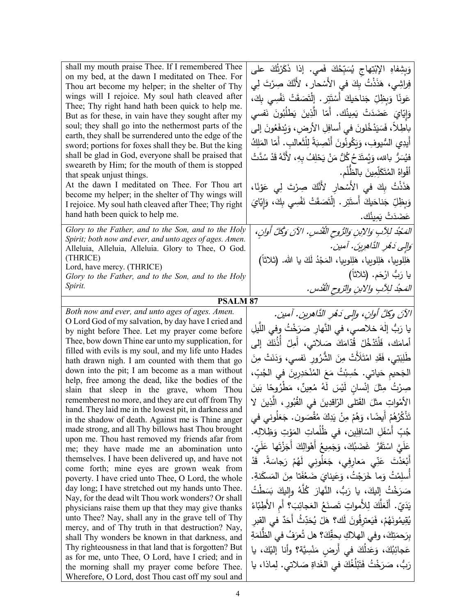| shall my mouth praise Thee. If I remembered Thee<br>on my bed, at the dawn I meditated on Thee. For<br>Thou art become my helper; in the shelter of Thy<br>wings will I rejoice. My soul hath cleaved after<br>Thee; Thy right hand hath been quick to help me.<br>But as for these, in vain have they sought after my<br>soul; they shall go into the nethermost parts of the<br>earth, they shall be surrendered unto the edge of the<br>sword; portions for foxes shall they be. But the king<br>shall be glad in God, everyone shall be praised that<br>sweareth by Him; for the mouth of them is stopped<br>that speak unjust things.<br>At the dawn I meditated on Thee. For Thou art<br>become my helper; in the shelter of Thy wings will<br>I rejoice. My soul hath cleaved after Thee; Thy right<br>hand hath been quick to help me.<br>Glory to the Father, and to the Son, and to the Holy                                                                                                                                                                                                                                                                                                                                                                                                                                                                                                                                                             | وَبِشِفاهِ الإِبْتِهاجِ يُسَبِّحُكَ فَمي. إذا ذَكَرْتُكَ على<br>فِراشِي، هَذَذْتُ بِكَ في الأَسْحارِ ، لأَنَّكَ صِرْتَ لِي<br>عَونًا وَبِظِلِّ جَناحَيكَ أَسْتَتِرٍ . إِنْتَصَقَتْ نَفْسِي بِكَ،<br>وَإِيّايَ عَضَدَتْ يَمِينُك. أَمّا الَّذِينَ يَطْلُبُونَ نَفسى<br>باطِلاً، فَسَيَدْخُلونَ في أسافِلِ الأرض، وَيُدفَعُونَ إلى<br>أيدِي السُّيوفِ، وَيَكُونُونَ أَنْصِبَةً لِلْثَعالبِ. أمّا المَلِكُ<br>فيُسَرُّ بالله، وَيُمتَدَحُ كُلُّ مَنْ يَحْلِفُ بِهِ، لأَنَّهُ قَدْ سُدَّتْ<br>أَفْواهُ الْمُتَكَلِّمِينَ بِالظُّلْمِ.<br>هَذَنْتُ بِكَ في الأَسْحارِ لأَنَّكَ صِرْتَ لِي عَوْنًا،<br>وَبِظِلِّ جَناحَيكَ أَستَتِر . إِلْتَصَقَتْ نَفْسِي بِكَ، وَإِيّايَ<br>عَضَدَتْ يَمِينُك.<br>المَجْدُ لِلِآبِ وَالِإِبنِ وَالزُوحِ الْقُدْسِ. الآنَ وَكُلَّ أَولَنِ،                                                                                                                                                                                                                                                                                                                                                                                                                                    |
|--------------------------------------------------------------------------------------------------------------------------------------------------------------------------------------------------------------------------------------------------------------------------------------------------------------------------------------------------------------------------------------------------------------------------------------------------------------------------------------------------------------------------------------------------------------------------------------------------------------------------------------------------------------------------------------------------------------------------------------------------------------------------------------------------------------------------------------------------------------------------------------------------------------------------------------------------------------------------------------------------------------------------------------------------------------------------------------------------------------------------------------------------------------------------------------------------------------------------------------------------------------------------------------------------------------------------------------------------------------------------------------------------------------------------------------------------------------------|----------------------------------------------------------------------------------------------------------------------------------------------------------------------------------------------------------------------------------------------------------------------------------------------------------------------------------------------------------------------------------------------------------------------------------------------------------------------------------------------------------------------------------------------------------------------------------------------------------------------------------------------------------------------------------------------------------------------------------------------------------------------------------------------------------------------------------------------------------------------------------------------------------------------------------------------------------------------------------------------------------------------------------------------------------------------------------------------------------------------------------------------------------------------------------------------------------|
| Spirit; both now and ever, and unto ages of ages. Amen.<br>Alleluia, Alleluia, Alleluia. Glory to Thee, O God.<br>(THRICE)<br>Lord, have mercy. (THRICE)<br>Glory to the Father, and to the Son, and to the Holy<br>Spirit.                                                                                                                                                                                                                                                                                                                                                                                                                                                                                                                                                                                                                                                                                                                                                                                                                                                                                                                                                                                                                                                                                                                                                                                                                                        | وَإِلِي دَهْرِ الذَّاهِرِينَ. آمين.<br>هَلِلوبِيا، هَلِلوبِيا، هَلِلوبِيا، المَجْدُ لَكَ يا الله. (ثلاثاً)<br>يا رَبُّ ارْحَم. (ثلاثاً)<br>المَجْد للِآبِ والابنِ والرّوحِ الْقُدسِ.                                                                                                                                                                                                                                                                                                                                                                                                                                                                                                                                                                                                                                                                                                                                                                                                                                                                                                                                                                                                                     |
| <b>PSALM 87</b>                                                                                                                                                                                                                                                                                                                                                                                                                                                                                                                                                                                                                                                                                                                                                                                                                                                                                                                                                                                                                                                                                                                                                                                                                                                                                                                                                                                                                                                    |                                                                                                                                                                                                                                                                                                                                                                                                                                                                                                                                                                                                                                                                                                                                                                                                                                                                                                                                                                                                                                                                                                                                                                                                          |
| Both now and ever, and unto ages of ages. Amen.<br>O Lord God of my salvation, by day have I cried and<br>by night before Thee. Let my prayer come before<br>Thee, bow down Thine ear unto my supplication, for<br>filled with evils is my soul, and my life unto Hades<br>hath drawn nigh. I am counted with them that go<br>down into the pit; I am become as a man without<br>help, free among the dead, like the bodies of the<br>slain that sleep in the grave, whom Thou<br>rememberest no more, and they are cut off from Thy<br>hand. They laid me in the lowest pit, in darkness and<br>in the shadow of death. Against me is Thine anger<br>made strong, and all Thy billows hast Thou brought<br>upon me. Thou hast removed my friends afar from<br>me; they have made me an abomination unto<br>themselves. I have been delivered up, and have not<br>come forth; mine eyes are grown weak from<br>poverty. I have cried unto Thee, O Lord, the whole<br>day long; I have stretched out my hands unto Thee.<br>Nay, for the dead wilt Thou work wonders? Or shall<br>physicians raise them up that they may give thanks<br>unto Thee? Nay, shall any in the grave tell of Thy<br>mercy, and of Thy truth in that destruction? Nay,<br>shall Thy wonders be known in that darkness, and<br>Thy righteousness in that land that is forgotten? But<br>as for me, unto Thee, O Lord, have I cried; and in<br>the morning shall my prayer come before Thee. | الآنَ وكلَّ أُوانِ، وإلى دَمُرِ الدَّاهرينِ. آمين.<br>يا رَبُّ إِلٰهَ خلاصي، في النَّهارِ صَرَخْتُ وفي اللَّيلِ<br>أمامَك، فَلْتَدْخُلْ قُدّامَكَ صَلاتى، أَمِلْ أَذُنَكَ إلى<br>طَٰلِبَتِي، فَقَدِ امْتَلَأَتْ مِنَ الشَّرُورِ نَفسي، وَدَنَتْ مِنَ<br>الجَحيم حَياتي. حُسِبْتُ مَعَ المُنْحَدِرِينَ في الجُبِّ،<br>صِرْتُ مِثْلَ إِنْسانٍ لَيْسَ لَهُ مُعِينٌ، مَطْرُوحًا بَينَ<br>الأَمْواتِ مثلَ القَتلى الرّاقدِينَ في القُبُورِ ، الَّذِينَ لا<br>تَذْكُرُهُمْ أَيضًا، وَهُمْ مِنْ يَدِكَ مُقْصَون. جَعَلُوني في<br>جُبّ أَسْفَلِ السّافِلِينِ، في ظُلُماتِ المَوْتِ وَظِلالِه.<br>عَلَيَّ اسْتَقَرَّ غَضَبُكَ، وَجَمِيعُ أَهْوالِكَ أَجَزْتَها عَلَيِّ.<br>أَبْعَدْتَ عَنِّي مَعارِفِي، جَعَلُونِي لَهُمْ رَجاسَةً. قَدْ<br>أَسلِمْتُ وَما خَرَجْتُ، وَعَيناىَ ضَعُفَتا مِنَ المَسكَنةِ.<br>صَرَخْتُ إِلَيكَ، يا رَبُّ، النَّهارَ كُلَّهُ والليكَ بَسَطْتُ<br>يَدَيِّ. أَلَعَلَّكَ لِلأَمواتِ تَصنَعُ العَجائِبَ؟ أَمِ الأَطِبّاءُ<br>يُقِيمُونَهُمْ، فَيَعترِفُونَ لَك؟ هَلْ يُحَدِّثُ أَحَدٌ في القبر<br>بِرَحمَتِكَ، وفي الهلاكِ بحقِّكَ؟ هل تُعرَفُ في الظَّلمَةِ<br>عَجائِبُكَ، وَعَدلُكَ في أرضِ مَنْسِيَّة؟ وأنا إليْكَ، يا<br>رَبُّ، صَرَخْتُ فَتَبْلُغُكَ في الغَداةِ صَلاتي. لِماذا، يا |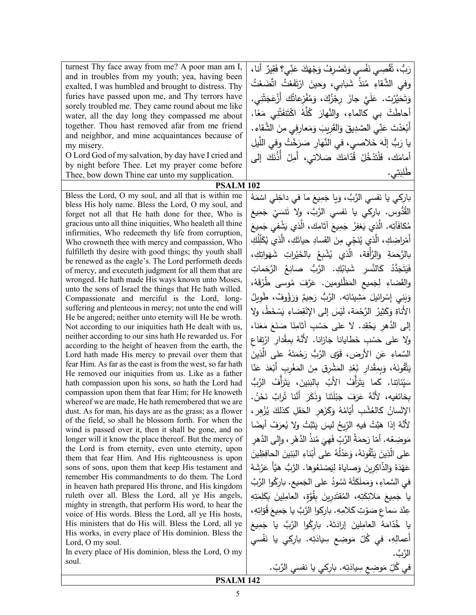turnest Thy face away from me? A poor man am I, and in troubles from my youth; yea, having been exalted, I was humbled and brought to distress. Thy furies have passed upon me, and Thy terrors have sorely troubled me. They came round about me like water, all the day long they compassed me about together. Thou hast removed afar from me friend and neighbor, and mine acquaintances because of my misery.

O Lord God of my salvation, by day have I cried and by night before Thee. Let my prayer come before Thee, bow down Thine ear unto my supplication.

**PSALM 102**

Bless the Lord, O my soul, and all that is within me bless His holy name. Bless the Lord, O my soul, and forget not all that He hath done for thee, Who is gracious unto all thine iniquities, Who healeth all thine infirmities, Who redeemeth thy life from corruption, Who crowneth thee with mercy and compassion, Who fulfilleth thy desire with good things; thy youth shall be renewed as the eagle's. The Lord performeth deeds of mercy, and executeth judgment for all them that are wronged. He hath made His ways known unto Moses, unto the sons of Israel the things that He hath willed. Compassionate and merciful is the Lord, longsuffering and plenteous in mercy; not unto the end will He be angered; neither unto eternity will He be wroth. Not according to our iniquities hath He dealt with us, neither according to our sins hath He rewarded us. For according to the height of heaven from the earth, the Lord hath made His mercy to prevail over them that fear Him. As far as the east is from the west, so far hath He removed our iniquities from us. Like as a father hath compassion upon his sons, so hath the Lord had compassion upon them that fear Him; for He knoweth whereof we are made, He hath remembered that we are dust. As for man, his days are as the grass; as a flower of the field, so shall he blossom forth. For when the wind is passed over it, then it shall be gone, and no longer will it know the place thereof. But the mercy of the Lord is from eternity, even unto eternity, upon them that fear Him. And His righteousness is upon sons of sons, upon them that keep His testament and remember His commandments to do them. The Lord in heaven hath prepared His throne, and His kingdom ruleth over all. Bless the Lord, all ye His angels, mighty in strength, that perform His word, to hear the voice of His words. Bless the Lord, all ye His hosts, His ministers that do His will. Bless the Lord, all ye His works, in every place of His dominion. Bless the Lord, O my soul.

In every place of His dominion, bless the Lord, O my soul.

ٌ أنا، ِیر َق ِي؟ ف ّ ن َ َ ع َك ْه َج َ ْصِر ُف و ت َ ْسي و َف ْ ِصي ن ق ُ َ ُّب، ت ر وفي الشَّقاءِ مُنذُ شَبابي، وحينَ ارْتَفَعْتُ اتَّضَعْتُ<br>مَرَّب .<br>ا وَتَحَيَّرْت. عَلَيَّ جازَ رِجْزُكَ، وَمُفْزِعاتُك أَزْعَجَتْنِي.<br>وَيَحَيَّرْت تقريبانك ارغج<br>په موسیق َ ءِ<br>، أحاطَتْ بي كالماءِ، والنَّهارَ كُلَّهُ اكْتَنَفَتْنِي مَعًا.<br>ئَمْسُسْسَمَاءِ أَبْعَدْتَ عَنِّي الصَّدِيقَ وَالقَرِيبَ وَمَعارِفِي مِنَ الشَّقاءِ.<br>أ يا رَبُّ إِلٰهَ خَلاصي، في النَّهارِ صَرَخْتُ وفي اللَّيلِ<br>ُ أمامَكَ، فَلْتَدْخُلْ قُدّامَكَ صَلاتي، أَمِلْ أَذُنَكَ إلى ِي.<br>يسي ت :<br>-ِب َطل

بارِكي يا نَفسي الرَّبَّ، وَيا جَمِيعَ ما في داخِلي اسْمَهُ القُّدُوس. بارِكي يا نَفسي الرَّبَّ، ولا تَنسَيْ جَمِيعَ<br>يَمْنَةَ سَنَّمَد مُكافَأتِه. الَّذي يَغفِرُ جَمِيعَ آثامِك، الَّذي يَشْفي جَميعَ<br>أ أَمْراضِكِ، الَّذي يُنَجِّي مِنَ الفَسادِ حياتَكِ، الَّذي يُكَلِّلُكِ بالرَّحمَةِ وَالزَّأْفة، الَّذ*ي* يُشْبِعُ بالخَيْراتِ شَهَواتِكِ،<br>مَسَسَّلا دُ كَالنَّسِ شَبابُكِ. الرَّبُّ صانِعُ الرَّحَماتِ<br>مُسْتَمَسِ َّدد َ َ<br>تَجَا ت .<br>ا ِ<br>فید ف والقَضاءِ لِجَميعِ المَظْلومين. عَرَّفَ مُوسى طُرُقَهُ،<br>. رَحِيمٌ وَرَؤُوفٌ، طَوِيلُ وَبَنِي إِسْرائيلَ مَشِيئاتِهِ. الرَّبُّ رَدِّ َ َ الأَناةِ وَكَثِيرُ الرَّحْمَة، لَيْسَ إلى الإِنْقِضاءِ يَسْخَطُ، ولا َنا، َع َ م َع َ ن َا ص ِن ْ ِب آثام َس ِد. لا على ح ْ ق َح َّ إلى الد ِهر � ولا على حَسْبِ خَطايانا جَازانا. لأَنَّهُ بِمِقْدارِ ارْتِفاعِ .<br>أ السَّماءِ عَنِ الأرض، قَوِّي الرَّبُّ رَحْمَتَهُ على الَّذِينَ<br>وَّهُ .<br>ا ِق ِم � َ ،ُ و َه ُون َّق ت ّ ی ا َ ن َ َ ع َد ْع ْ ِرِب أَ� َغ َ الم ِن َ ْشِرِق م ِ الم ْد ُع ِدار � سَيِّئاتِنا. كَما يَتَرَأَّفُ الأَبُ بِالبَنِينَ، يَتَرَأَّفُ الرَّبُّ ً<br>ا بِخائفيه، لأَنَّهُ عَرَفٍ جَبْلَتَنا وَذَكَرَ أَنَّنا تُرابٌ نَحْنُ.<br>-**ٔ** الإِنْسانُ كَالعُشْبِ أَيَّامُهُ وَكَزَهرِ الْحَقْلِ كذلكَ يُزْهِرِ ،<br>\*\*\* ِ<br>ُ لأَّنَّهُ إذا هَبَّتْ فيهِ الرِّيحُ ليسَ يَتْبُتُ ولا يُعرَفُ أيضًا مَوضِعُه. أمّا رَحمَةُ الرَّبِّ فَهِيَ مُنذُ الدَّهْرِ ، وإلى الدَّهْرِ<br>ما سنّن كَتَّفَكِّل منظُّفِ اللَّهِ الصَّافِعُ <u>ة</u> على الّذِينَ يَتَّقُونَهُ، وَعَذْلُهُ على أَبْناءِ البَنِينَ الحافِظِينَ<br>-عَهْدَهُ وَالذَّاكِرِينَ وَصاياهُ لِيَصْنَعُوها. الرَّبُّ هَيَّأَ عَرْشَهُ في السَّماءِ ، وَمَملَكَتُهُ تَسُودُ على الجَميع. بارِكُوا الرَّبَّ يا جَمِيعَ مَلائِكَتِهِ، المُقتَدِرِينَ بِقُوَّةٍ، العامِلِينَ بِكَلِمَتِهِ عِنْدَ سَماعِ صَوْتِ كَلامِهِ. بارِكوا الرَّبَّ يا جَمِيعَ قُوّاتِهِ،<br>مُسَمَّدٍ ْ يا خُدّامَهُ العامِلينَ إرادَتَهُ. بارِكُوا الرَّبَّ يا جَمِيعَ<br>ءَ أَعمالِهِ، في كُلّ مَوضِعِ سِيادَتِه. بارِكي يا نَفْسي َّ الرَّب. في كُلِّ مَوضِعٍ سِيادَتِه. بارِكي يا نفسي الرَّبّ.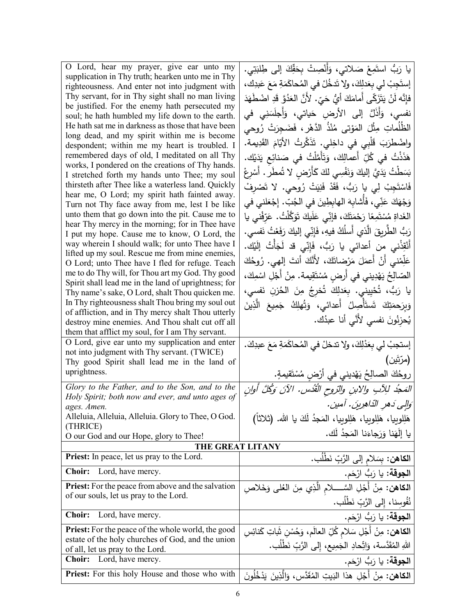| O Lord, hear my prayer, give ear unto my                                                                | يا رَبُّ استَمِعْ صَلاتي، وَأَنْصِتْ بِحَقِّكَ إلى طِلبَتِي.                 |
|---------------------------------------------------------------------------------------------------------|------------------------------------------------------------------------------|
| supplication in Thy truth; hearken unto me in Thy                                                       |                                                                              |
| righteousness. And enter not into judgment with                                                         | إِستَجِبْ لَى بِعَدلِكَ، ولا تَدخُلْ في المُحاكَمَةِ مَعَ عَبدِكَ،           |
| Thy servant, for in Thy sight shall no man living                                                       | فإِنَّه لَنْ يَتَزَكَّى أَمامَكَ أَيُّ حَيّ. لأَنَّ العَدُوَّ قَدِ اضْطَهَدَ |
| be justified. For the enemy hath persecuted my                                                          | نفسي، وَأَذَلَّ إلى الأرض حَياتي، وَأَجلَسَنِي في                            |
| soul; he hath humbled my life down to the earth.                                                        |                                                                              |
| He hath sat me in darkness as those that have been                                                      | الظُلُماتِ مِثْلَ المَوْتى مُنْذُ الدَّهْرِ ، فَضَجِرَتْ رُوحي               |
| long dead, and my spirit within me is become                                                            | واضْطْرَبَ قَلْبِي في داخِلي. تَذَكَّرتُ الأيّامَ القَدِيمة.                 |
| despondent; within me my heart is troubled. I<br>remembered days of old, I meditated on all Thy         |                                                                              |
| works, I pondered on the creations of Thy hands.                                                        | هَذَذْتُ في كُلِّ أَعمالِكَ، وَتَأَمَّلْتُ في صَنائِع يَدَيْك.               |
| I stretched forth my hands unto Thee; my soul                                                           | بَسَطْتُ يَدَيَّ إِليكَ وَنَفْسِي لكَ كَأَرْضٍ لا تُمطَّر . أَسْرِعْ         |
| thirsteth after Thee like a waterless land. Quickly                                                     | فَاسْتَجِبْ لِي يا رَبُّ، فَقَدْ فَنِيَتْ رُوحي. لا تَصْرفْ                  |
| hear me, O Lord; my spirit hath fainted away.                                                           |                                                                              |
| Turn not Thy face away from me, lest I be like                                                          | وَجْهَكَ عَنِّى، فَأَشابِهَ الهابِطِينَ في الجُبِّ. إِجْعَلني في             |
| unto them that go down into the pit. Cause me to                                                        | الغَداةِ مُسْتَمِعًا رَحْمَتَكَ، فإنِّي عَلَيكَ تَوَكَّلْتُ. عَرّفْنى يا     |
| hear Thy mercy in the morning; for in Thee have                                                         |                                                                              |
| I put my hope. Cause me to know, O Lord, the                                                            | رَبُّ الطَّرِيقَ الَّذي أَسلُكُ فيهِ، فَإِنِّي إليكَ رَفَعْتُ نَفسي.         |
| way wherein I should walk; for unto Thee have I                                                         | أَنْقِذْني من أعدائي يا رَبُّ، فَإِنِّي قد لَجَأْتُ إلَيْكَ.                 |
| lifted up my soul. Rescue me from mine enemies,                                                         | عَلِّمْني أَنْ أَعمَلَ مَرْضاتَكَ، لأَنَّكَ أنتَ إلهي. رُوحُكَ               |
| O Lord; unto Thee have I fled for refuge. Teach                                                         |                                                                              |
| me to do Thy will, for Thou art my God. Thy good                                                        | الصّالِحُ يَهْدِيني في أرضِ مُسْتَقِيمة. مِنْ أَجْلِ اسْمِكَ،                |
| Spirit shall lead me in the land of uprightness; for<br>Thy name's sake, O Lord, shalt Thou quicken me. | يا رَبُّ، تُحْيِيني. بِعَدلِكَ تُخرِجُ مِنَ الْحُزنِ نَفسي،                  |
| In Thy righteousness shalt Thou bring my soul out                                                       |                                                                              |
| of affliction, and in Thy mercy shalt Thou utterly                                                      | وَبِرَحمَتِكَ شَىتَأْصِلُ أَعدائي، وَتُهلِكُ جَمِيعَ الَّذِينَ               |
| destroy mine enemies. And Thou shalt cut off all                                                        | يُحزِنُونَ نفسي لأُنَّى أنا عبدُك.                                           |
| them that afflict my soul, for I am Thy servant.                                                        |                                                                              |
| O Lord, give ear unto my supplication and enter                                                         | إستجبْ لي بِعَدْلِكَ، ولا تدخلْ في المُحاكَمَةِ مَعَ عبدِكَ.                 |
| not into judgment with Thy servant. (TWICE)                                                             |                                                                              |
| Thy good Spirit shall lead me in the land of                                                            | (مرّتَين)                                                                    |
| uprightness.                                                                                            | روحُكَ الصالِحُ يَهْديني في أَرْضٍ مُسْتَقيمةٍ.                              |
| Glory to the Father, and to the Son, and to the                                                         | المَحِدُ للِآبِ والابنِ والرّوحِ الْقُدْسِ. الآنَ وَكُلَّ أُوانِ             |
| Holy Spirit; both now and ever, and unto ages of                                                        |                                                                              |
| ages. Amen.                                                                                             | وَالِي دَهرِ الدَّاهِرِينَ. آمين.                                            |
| Alleluia, Alleluia, Alleluia. Glory to Thee, O God.                                                     | هَلِلوبِيا، هَلِلوبِيا، هَلِلوبِيا، المَجدُ لَكَ يا الله. (ثلاثاً)           |
| (THRICE)                                                                                                | يا إِلَهَنا وَرَجاءَنا المَجِدُ لَك.                                         |
| O our God and our Hope, glory to Thee!                                                                  |                                                                              |
| THE GREAT LITANY                                                                                        |                                                                              |
| Priest: In peace, let us pray to the Lord.                                                              | ا <b>لكاهن:</b> بِسَلامِ إِلَى الرَّبِّ نَطْلُبٍ.                            |
| <b>Choir:</b><br>Lord, have mercy.                                                                      | ا <b>لجوقة:</b> يا رَبُّ ارْحَم.                                             |
| <b>Priest:</b> For the peace from above and the salvation                                               | ا <b>لمكاهن:</b> مِنْ أَجْلِ السَّــــلاَم الَّذِي مِنَ العُلمي وَخَلاصِ     |
| of our souls, let us pray to the Lord.                                                                  |                                                                              |
|                                                                                                         | نُفُوسِنا، إِلى الرَّبِّ نَطْلُب.                                            |
| <b>Choir:</b><br>Lord, have mercy.                                                                      | ا <b>لجوقة:</b> يا رَبُّ ارْحَم.                                             |
| <b>Priest:</b> For the peace of the whole world, the good                                               | <b>الكاهن:</b> مِنْ أَجْلِ سَلام كُلِّ العالَم، وَحُسْنِ شَاتِ كَنائِسِ      |
| estate of the holy churches of God, and the union                                                       | اللهِ المُقَدَّسة، وَاتِّحادِ الجَمِيعِ، إِلى الرَّبِّ نَطْلُبٍ.             |
| of all, let us pray to the Lord.                                                                        |                                                                              |
| <b>Choir:</b><br>Lord, have mercy.                                                                      | ا <b>لجوقة:</b> يا رَبُّ ارْحَم.                                             |
| <b>Priest:</b> For this holy House and those who with                                                   | ا <b>لكاهن:</b> مِنْ أَجْل هذا البَيتِ المُقَدَّسِ، وَالَّذِينَ يَدْخُلُونَ  |
|                                                                                                         |                                                                              |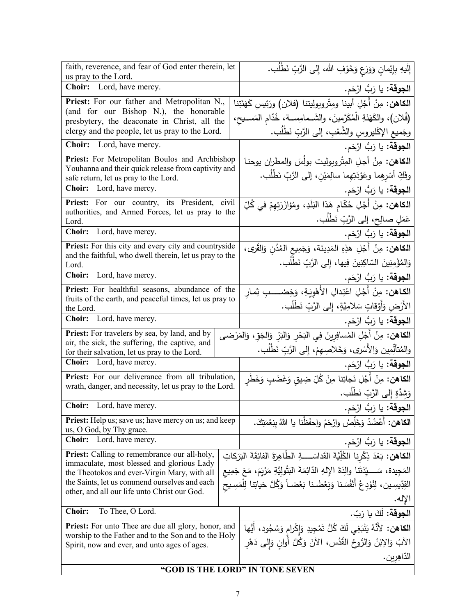| faith, reverence, and fear of God enter therein, let                                                               | إِلَيهِ بِإِيْمانٍ وَوَرَعٍ وَخَوْفِ الله، إِلَى الرَّبِّ نَطْلُب.                          |
|--------------------------------------------------------------------------------------------------------------------|---------------------------------------------------------------------------------------------|
| us pray to the Lord.<br><b>Choir:</b> Lord, have mercy.                                                            | ا <b>لجوقة:</b> يا رَبُّ ارْحَم.                                                            |
| Priest: For our father and Metropolitan N.,                                                                        | الكاهن: مِنْ أَجْلِ أبينا ومِتْروبوليتنا (فلان) ورَئِيسِ كَهَنَتِنا                         |
| (and for our Bishop N.), the honorable<br>presbytery, the deaconate in Christ, all the                             | (فُلان)، والكَهَنَةِ الْمُكَرَّمينَ، والشَــمامِســة، خُدّام المَســيح،                     |
| clergy and the people, let us pray to the Lord.                                                                    | وجَميع الإكْليروسِ والشَّعْبِ، إلى الرَّبِّ نَطْلَب.                                        |
| <b>Choir:</b> Lord, have mercy.                                                                                    | ا <b>لجوقة:</b> يا رَبُّ ارْحَم.                                                            |
| <b>Priest:</b> For Metropolitan Boulos and Archbishop                                                              | الكاهن: مِنْ أجلِ المِتْروبوليت بولُسَ والمطران يوحنا                                       |
| Youhanna and their quick release from captivity and<br>safe return, let us pray to the Lord.                       | وفَكِّ أَسْرِهِما وعَوْدَتِهِما سالِمَيْنِ، إلى الرَّبِّ نَطْلَبٍ.                          |
| Choir: Lord, have mercy.                                                                                           | ا <b>لجوقة:</b> يا رَبُّ ارْحَم.                                                            |
| Priest: For our country, its President, civil<br>authorities, and Armed Forces, let us pray to the                 | ا <b>لكاهن:</b> مِنْ أَجْلِ حُكّام هَذا البَلَدِ، ومُؤازَرَتِهِمْ في كُلِّ                  |
| Lord.                                                                                                              | عَمَلٍ صالِحٍ، إلى الرَّبِّ نَطْلُبٍ.                                                       |
| Choir: Lord, have mercy.                                                                                           | ا <b>لجوقة:</b> يا رَبُّ ارْحَم.                                                            |
| Priest: For this city and every city and countryside<br>and the faithful, who dwell therein, let us pray to the    | ا <b>لكاهن:</b> مِنْ أَجْلِ هذِهِ المَدِينَة، وَجَمِيع المُدُنِ وَالقُرى،                   |
| Lord.                                                                                                              | وَالِمُؤْمِنِينَ السّاكِنِينَ فِيها، إِلَى الرَّبِّ نَطْلُبٍ.                               |
| Lord, have mercy.<br><b>Choir:</b>                                                                                 | ا <b>لجوقة:</b> يا رَبُّ ارْحَم.                                                            |
| Priest: For healthful seasons, abundance of the<br>fruits of the earth, and peaceful times, let us pray to         | ا <b>لكاهن:</b> مِنْ أَجْلِ اعْتِدالِ الأَهْوِيَةِ، وَخِصْــــبِ ثِمار                      |
| the Lord.                                                                                                          | الأَرْضِ وَأَوْقَاتٍ سَلامِيَّةٍ، إِلَى الرَّبِّ نَطْلُب.                                   |
| Choir: Lord, have mercy.                                                                                           | ا <b>لجوقة:</b> يا رَبُّ ارْحَم.                                                            |
| Priest: For travelers by sea, by land, and by<br>air, the sick, the suffering, the captive, and                    | ا <b>لكاهن:</b> مِنْ أَجْلِ المُسافِرِينَ فِي النَحْرِ وَالنَّرِّ وَالجَوِّ ، وَالمَرْضـى   |
| for their salvation, let us pray to the Lord.                                                                      | والمُتألِّمِين وَالأَسْرِي، وَخَلاصِهِمْ، إِلى الرَّبِّ نَطْلُب.                            |
| <b>Choir:</b> Lord, have mercy.                                                                                    | ا <b>لجوقة:</b> يا رَبُّ ارْحَم.                                                            |
| Priest: For our deliverance from all tribulation,<br>wrath, danger, and necessity, let us pray to the Lord.        | ا <b>لكاهن:</b> مِنْ أَجْلِ نَجاتِنا مِنْ كُلِّ ضِيقٍ وَغَضَبٍ وَخَطَرِ                     |
|                                                                                                                    | وَشِدَّةٍ إِلَى الرَّبِّ نَطْلُب.                                                           |
| <b>Choir:</b><br>Lord, have mercy.                                                                                 | ا <b>لجوقة:</b> يا رَبُّ ارْحَم.                                                            |
| <b>Priest:</b> Help us; save us; have mercy on us; and keep<br>us, O God, by Thy grace.                            | ا <b>لكاهن:</b> أَعْضُدْ وَخَلِّصْ وارْحَمْ واحفَظْنا يا اللهُ بِنِعْمَتِكَ.                |
| <b>Choir:</b> Lord, have mercy.                                                                                    | ا <b>لجوقة:</b> يا رَبُّ ارْحَم.                                                            |
| <b>Priest:</b> Calling to remembrance our all-holy,                                                                | الكاهن: بَعْدَ ذِكْرِنا الكُلِّيَّةَ القَداسَــــةِ الطَّاهِرَةَ الفائِقَةَ البَرَكاتِ      |
| immaculate, most blessed and glorious Lady<br>the Theotokos and ever-Virgin Mary, with all                         | المَجِيدة، سَــــيّدَتَنا والِدَةَ الإِلهِ الدّائِمَةَ البَتُولِيَّةِ مَرْبَمَ، مَعَ جَمِيع |
| the Saints, let us commend ourselves and each<br>other, and all our life unto Christ our God.                      | القِدِّيسِين، لِنُوْدِعْ أَنْفُسَنا وَبَعْضُنا بَعْضاً وَكُلَّ حَياتِنا لِلْمَسِيح          |
|                                                                                                                    | الإله.                                                                                      |
| <b>Choir:</b><br>To Thee, O Lord.                                                                                  | ا <b>لجوقة:</b> لَكَ يا رَبّ.                                                               |
| <b>Priest:</b> For unto Thee are due all glory, honor, and<br>worship to the Father and to the Son and to the Holy | الكاهن: لأَنَّهُ يَنْبَغِي لَكَ كُلُّ تَمْجِيدٍ وَإِكْرامٍ وَسُجُودٍ، أَيُّها               |
| Spirit, now and ever, and unto ages of ages.                                                                       | الآبُ وَالِإِبْنُ وَالرُّوحُ الْقُدُسِ، الآنَ وَكُلَّ أُوانِ وَإِلَى دَهْرِ                 |
|                                                                                                                    | الذاهِرين.                                                                                  |
|                                                                                                                    | "GOD IS THE LORD" IN TONE SEVEN                                                             |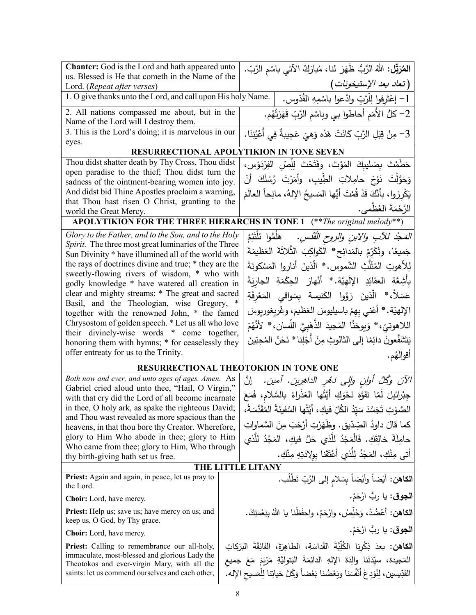| <b>Chanter:</b> God is the Lord and hath appeared unto<br>us. Blessed is He that cometh in the Name of the<br>Lord. (Repeat after verses)<br>1. O give thanks unto the Lord, and call upon His holy Name.                                                                                                                                                                                                                                                                                                                                                                                                                                                                       |  |                                                            | المُعَرَقِّل: اللهُ الرَّبُّ ظَهَرَ لنا، مُبارَكٌ الآتي باسْم الرَّبّ.<br>(تعاد بعد الإستيخونات)<br>1– إعْتَرفوا لِلْرَّبِّ وادْعوا باسْمِهِ القُدّوس.                                                                                                                                                                                                                                                                                                                                                                                                                       |
|---------------------------------------------------------------------------------------------------------------------------------------------------------------------------------------------------------------------------------------------------------------------------------------------------------------------------------------------------------------------------------------------------------------------------------------------------------------------------------------------------------------------------------------------------------------------------------------------------------------------------------------------------------------------------------|--|------------------------------------------------------------|------------------------------------------------------------------------------------------------------------------------------------------------------------------------------------------------------------------------------------------------------------------------------------------------------------------------------------------------------------------------------------------------------------------------------------------------------------------------------------------------------------------------------------------------------------------------------|
| 2. All nations compassed me about, but in the<br>Name of the Lord will I destroy them.<br>3. This is the Lord's doing; it is marvelous in our                                                                                                                                                                                                                                                                                                                                                                                                                                                                                                                                   |  | 2– كلُّ الأُمَم أَحاطُوا بي وبِاسْمِ الرَّبِّ قَهَرْتُهُم. |                                                                                                                                                                                                                                                                                                                                                                                                                                                                                                                                                                              |
| eyes.                                                                                                                                                                                                                                                                                                                                                                                                                                                                                                                                                                                                                                                                           |  |                                                            | ٍ 3− مِنْ قِبَلِ الرَّبِّ كَانَتْ هَذَه وَهيَ عَجِيبةٌ فِي أَعْيُنِنَا.                                                                                                                                                                                                                                                                                                                                                                                                                                                                                                      |
| RESURRECTIONAL APOLYTIKION IN TONE SEVEN                                                                                                                                                                                                                                                                                                                                                                                                                                                                                                                                                                                                                                        |  |                                                            |                                                                                                                                                                                                                                                                                                                                                                                                                                                                                                                                                                              |
| Thou didst shatter death by Thy Cross, Thou didst<br>open paradise to the thief; Thou didst turn the<br>sadness of the ointment-bearing women into joy.<br>And didst bid Thine Apostles proclaim a warning,<br>that Thou hast risen O Christ, granting to the                                                                                                                                                                                                                                                                                                                                                                                                                   |  |                                                            | حَطَمْتَ بِصَليبِكَ المَوْتَ، وفَتَحْتَ لِلِّصِّ الفِرْدَوْسِ،<br>وَحَوَّلْتَ نَوْحَ حامِلاتِ الطِّيبِ، وأَمَرْتَ رُسُلَكَ أَنْ<br>يَكْرِزوا، بأَنَّكَ قَدْ قُمْتَ أَيُّها المَسيحُ الإِلهُ، مانِحاً العالَمَ<br>الرَّحْمَةَ العُظْمي.                                                                                                                                                                                                                                                                                                                                       |
| world the Great Mercy.<br>APOLYTIKION FOR THE THREE HIERARCHS IN TONE 1 (**The original melody**)                                                                                                                                                                                                                                                                                                                                                                                                                                                                                                                                                                               |  |                                                            |                                                                                                                                                                                                                                                                                                                                                                                                                                                                                                                                                                              |
| Glory to the Father, and to the Son, and to the Holy<br>Spirit. The three most great luminaries of the Three<br>Sun Divinity * have illumined all of the world with<br>the rays of doctrines divine and true; * they are the<br>sweetly-flowing rivers of wisdom, * who with<br>godly knowledge * have watered all creation in<br>clear and mighty streams: * The great and sacred<br>Basil, and the Theologian, wise Gregory,<br>together with the renowned John, * the famed<br>Chrysostom of golden speech. * Let us all who love<br>their divinely-wise words * come together,<br>honoring them with hymns; * for ceaselessly they<br>offer entreaty for us to the Trinity. |  |                                                            | <i>المَجْد للآبِ والابن والروح القُدْسِ.</i> هَلُمُّوا نَلْتَئِمْ<br>جَميعًا، ونُكَرِّمْ بالمَدائِحِ* الكَواكِبَ الثُّلاثَةَ العَظيمَةَ<br>لِلاِّهوتِ المُثَلَّثِ الشّموسِ.* الّذينَ أناروا المَسْكونَةَ<br>بِأَشِعَّةِ العقائِدِ الإِلَهِيَّةِ.* أَنْهارَ الحِكْمَةِ الجارِيَةَ<br>عَسَلاً، * الَّذينَ رَوَّوا الكَنيسة بِسَواقي المَعْرِفَةِ<br>الإلهيّة. * أعْني بِهِمْ باسيليوسَ العَظيمَ، وغْريغوريوسَ<br>اللاهوتيّ، * وَيوحَنَّا المَجيدَ الذَّهَبِيِّ اللَّسانِ، * لأَنَّهُمْ<br>يَتَشَفَّعونَ دائِمًا إلى الثالوثِ مِنْ أَجْلِنا * نَحْنُ الْمُحِبّينَ<br>أقوالُهُم. |
| RESURRECTIONAL THEOTOKION IN TONE ONE                                                                                                                                                                                                                                                                                                                                                                                                                                                                                                                                                                                                                                           |  |                                                            |                                                                                                                                                                                                                                                                                                                                                                                                                                                                                                                                                                              |
| Both now and ever, and unto ages of ages. Amen. As<br>Gabriel cried aloud unto thee, "Hail, O Virgin,"<br>with that cry did the Lord of all become incarnate<br>in thee, O holy ark, as spake the righteous David;<br>and Thou wast revealed as more spacious than the<br>heavens, in that thou bore thy Creator. Wherefore,<br>glory to Him Who abode in thee; glory to Him<br>Who came from thee; glory to Him, Who through<br>thy birth-giving hath set us free.                                                                                                                                                                                                             |  | ٳڹۘ۠                                                       | الآنَ وكُلَّ أُوانِ وإلى دَهْرِ الداهرِينِ. آمينِ.<br>جِبْرائيلَ لَمّا تَفَوَّهَ نَحْوَكِ أَيَّتُها العَذْراءُ بالسَّلام، فَمَعَ<br>الْصَّوْتِ تَجَسَّدَ سَيِّدُ الكُلِّ فيكِ، أَيَّتُها الْسَّفينَةُ الْمُقَدَّسَةُ،<br>كما قالَ داودُ الصِّدّيقِ. وظُهَرْتِ أَرْحَبَ مِنَ السَّماواتِ<br>حامِلَةً خالِقَكِ. فَالْمَجْدُ للَّذِي حَلَّ فيكِ، المَجُدُ للَّذِي<br>أتي مِنْكِ، المَجْدُ لِلَّذِي أَعْتَقَنا بولادَتِهِ مِنْكِ.                                                                                                                                                |
| THE LITTLE LITANY                                                                                                                                                                                                                                                                                                                                                                                                                                                                                                                                                                                                                                                               |  |                                                            |                                                                                                                                                                                                                                                                                                                                                                                                                                                                                                                                                                              |
| Priest: Again and again, in peace, let us pray to<br>the Lord.                                                                                                                                                                                                                                                                                                                                                                                                                                                                                                                                                                                                                  |  |                                                            | ا <b>لكاهن:</b> أيْضاً وأيْضاً بِسَلام إلى الرَّبِّ نَطْلُب.<br>ا <b>لجوق</b> : يا ربُّ ارْحَمْ.                                                                                                                                                                                                                                                                                                                                                                                                                                                                             |
| <b>Choir:</b> Lord, have mercy.                                                                                                                                                                                                                                                                                                                                                                                                                                                                                                                                                                                                                                                 |  |                                                            |                                                                                                                                                                                                                                                                                                                                                                                                                                                                                                                                                                              |
| <b>Priest:</b> Help us; save us; have mercy on us; and<br>keep us, O God, by Thy grace.                                                                                                                                                                                                                                                                                                                                                                                                                                                                                                                                                                                         |  |                                                            | الكاهن: أَعْضُدْ، وَخَلِّصْ، وارْحَمْ، واحفَظْنا يا اللهُ بِنِعْمَتِكَ.                                                                                                                                                                                                                                                                                                                                                                                                                                                                                                      |
| Choir: Lord, have mercy.                                                                                                                                                                                                                                                                                                                                                                                                                                                                                                                                                                                                                                                        |  |                                                            | ا <b>لجوق</b> : يا ربُّ ارْحَمْ.                                                                                                                                                                                                                                                                                                                                                                                                                                                                                                                                             |
| <b>Priest:</b> Calling to remembrance our all-holy,<br>immaculate, most-blessed and glorious Lady the<br>Theotokos and ever-virgin Mary, with all the<br>saints: let us commend ourselves and each other,                                                                                                                                                                                                                                                                                                                                                                                                                                                                       |  |                                                            | ا <b>لكاهن:</b> بعدَ ذِكْرِنا الكُلِّيَّةَ القَداسَةِ، الطاهِرَةَ، الفائِقَةَ البَرَكاتِ<br>المَجيدة، سيِّدَتَنا والِدَةَ الإِلهِ الدائِمَةَ البَتولِيَّةِ مَرْيَمَ مَعَ جميع<br>القدِّيسين، لِنُوْدِعْ أَنْفُسَنا وبَعْضُنا بَعْضاً وَكُلَّ حَياتِنا لِلْمَسيحِ الإله.                                                                                                                                                                                                                                                                                                      |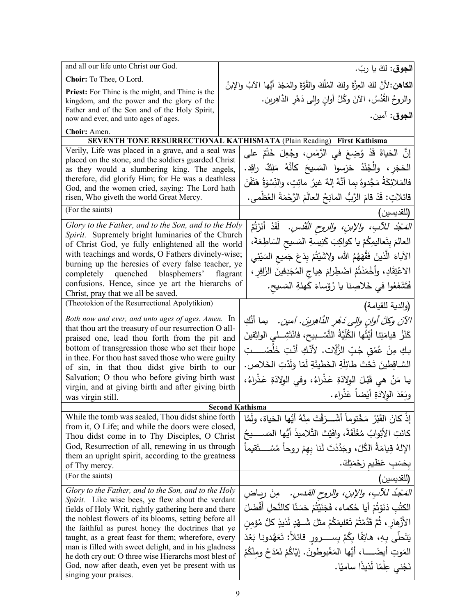| and all our life unto Christ our God.                                                                                                                                                                                                                                                                                                                                                                                                                                            |                        | ا <b>لجوق</b> : لكَ يا ربّ.                                                                                                                                                                                                                                                                                                                                                                           |
|----------------------------------------------------------------------------------------------------------------------------------------------------------------------------------------------------------------------------------------------------------------------------------------------------------------------------------------------------------------------------------------------------------------------------------------------------------------------------------|------------------------|-------------------------------------------------------------------------------------------------------------------------------------------------------------------------------------------------------------------------------------------------------------------------------------------------------------------------------------------------------------------------------------------------------|
| Choir: To Thee, O Lord.                                                                                                                                                                                                                                                                                                                                                                                                                                                          |                        |                                                                                                                                                                                                                                                                                                                                                                                                       |
| <b>Priest:</b> For Thine is the might, and Thine is the<br>kingdom, and the power and the glory of the<br>Father and of the Son and of the Holy Spirit,<br>now and ever, and unto ages of ages.                                                                                                                                                                                                                                                                                  |                        | الكاهن:لأنَّ لكَ العِزَّةَ ولكَ المُلْكَ والقُوَّةَ والمَجْدَ أَيُّها الآبُ والإِبنُ<br>والروحُ القُدُسُ، الآنَ وكُلَّ أوانِ وإلى دَهْرِ الدَّاهِرين.<br>ا <b>لجوق</b> : آمين.                                                                                                                                                                                                                        |
| Choir: Amen.                                                                                                                                                                                                                                                                                                                                                                                                                                                                     |                        |                                                                                                                                                                                                                                                                                                                                                                                                       |
| SEVENTH TONE RESURRECTIONAL KATHISMATA (Plain Reading) First Kathisma                                                                                                                                                                                                                                                                                                                                                                                                            |                        |                                                                                                                                                                                                                                                                                                                                                                                                       |
| Verily, Life was placed in a grave, and a seal was<br>placed on the stone, and the soldiers guarded Christ<br>as they would a slumbering king. The angels,<br>therefore, did glorify Him; for He was a deathless<br>God, and the women cried, saying: The Lord hath<br>risen, Who giveth the world Great Mercy.                                                                                                                                                                  |                        | إِنَّ الْحَياةَ قَدْ وُضِعَ في الرَّمْسِ، وِجُعِلَ خَتْمٌ على<br>الْحَجَرِ ، والْجُنْدُ حَرَسوا الْمَسيحَ كَأَنَّهُ مَلِكٌ راقِد.<br>فالمَلائِكَةُ مَجَّدوهُ بما أنَّهُ إلهٌ غيرُ مائِتٍ، والنِّسْوَةُ هَتَفْنَ<br>قائلاتٍ: قَدْ قامَ الرَّبُّ المانِحُ العالَمَ الرَّحْمَةَ العُظْمى.                                                                                                                |
| (For the saints)                                                                                                                                                                                                                                                                                                                                                                                                                                                                 |                        | (للقديسين)                                                                                                                                                                                                                                                                                                                                                                                            |
| Glory to the Father, and to the Son, and to the Holy                                                                                                                                                                                                                                                                                                                                                                                                                             |                        | الصَجُدُ للآبِ، والإبنِ، والروحِ القُدْسِ. لَقَدْ أَنَرْتُمُ                                                                                                                                                                                                                                                                                                                                          |
| Spirit. Supremely bright luminaries of the Church<br>of Christ God, ye fully enlightened all the world<br>with teachings and words, O Fathers divinely-wise;                                                                                                                                                                                                                                                                                                                     |                        | العالمَ بِتَعاليمِكُمْ يا كواكِبَ كَنِيسةِ المَسيحِ السَاطِعَةَ،<br>الآباءَ الَّذينَ فَقَّهَهُمُ الله، ولاشَيْتُمْ بِدَعَ جَميعِ السَيَّئِي                                                                                                                                                                                                                                                           |
| burning up the heresies of every false teacher, ye<br>completely quenched blasphemers'                                                                                                                                                                                                                                                                                                                                                                                           | flagrant               | الاعْتِقَادِ، وأَخْمَدْتُمُ اصْطِرامَ هِياجِ الْمُجَدِفينَ الزَافِرِ ،                                                                                                                                                                                                                                                                                                                                |
| confusions. Hence, since ye art the hierarchs of<br>Christ, pray that we all be saved.                                                                                                                                                                                                                                                                                                                                                                                           |                        | فَتَشَفعُوا في خَلاصِنا يا رُؤَساءَ كَهذَةِ المَسيح.                                                                                                                                                                                                                                                                                                                                                  |
| (Theotokion of the Resurrectional Apolytikion)                                                                                                                                                                                                                                                                                                                                                                                                                                   |                        | (والدية للقيامة)                                                                                                                                                                                                                                                                                                                                                                                      |
| Both now and ever, and unto ages of ages. Amen. In<br>that thou art the treasury of our resurrection O all-<br>praised one, lead thou forth from the pit and<br>bottom of transgression those who set their hope<br>in thee. For thou hast saved those who were guilty<br>of sin, in that thou didst give birth to our<br>Salvation; O thou who before giving birth wast<br>virgin, and at giving birth and after giving birth<br>was virgin still.                              |                        | الآنَ وكلَّ أُوانِ والِّي دَهْرِ الدَّاهِرِينَ. آمين.   بما أنَّكِ<br>كَنْزُ قيامَتِنا أَيَّتُها الكُلِّيَّةُ النَّسْــبيح، فانْتَشِــلـى الواثِقينَ<br>بكِ مِنْ عُمْقٍ جُبِّ الزَّلَّاتِ. لأَنَّكِ أَنْتِ خَلَّصْــــتِ<br>السَّـاقِطينَ تَحْتَ طَائِلَةِ الخَطيئَةِ لَمّا وَلَدْتِ الخَلاص.<br>يـا مَنْ هي قَبْلَ الولادَةِ عَذْراءُ، وفي الولادَةِ عَذْراءُ،<br>وبَعْدَ الولادَةِ أَيْضاً عَذْراء. |
|                                                                                                                                                                                                                                                                                                                                                                                                                                                                                  | <b>Second Kathisma</b> |                                                                                                                                                                                                                                                                                                                                                                                                       |
| While the tomb was sealed, Thou didst shine forth<br>from it, O Life; and while the doors were closed,<br>Thou didst come in to Thy Disciples, O Christ<br>God, Resurrection of all, renewing in us through<br>them an upright spirit, according to the greatness<br>of Thy mercy.<br>(For the saints)                                                                                                                                                                           |                        | إِذْ كانَ القَبْرُ ۖ مَخْتوماً أَشْـــرَقْتَ مِنْهُ أَيُّها الْحَياة، ولَمَّا<br>كانَتِ الأَبْوابُ مُغْلَقَةً، وافَيْتَ التَّلاميذَ أيُّها المَســــيحُ<br>الإلهُ قِيامَةُ الكُلِّ، وجَدَّدْتَ لَنا بهمْ روحاً مُسْــــتَقيماً<br>بِحَسَبِ عَظيمِ رَحْمَتِكَ.<br>(للقديسين)                                                                                                                           |
| Glory to the Father, and to the Son, and to the Holy                                                                                                                                                                                                                                                                                                                                                                                                                             |                        | الْمَجْدُ للأَبِ، والإبن، والروح القدسِ.    مِنْ رياضٍ                                                                                                                                                                                                                                                                                                                                                |
| Spirit. Like wise bees, ye flew about the verdant<br>fields of Holy Writ, rightly gathering here and there<br>the noblest flowers of its blooms, setting before all<br>the faithful as purest honey the doctrines that ye<br>taught, as a great feast for them; wherefore, every<br>man is filled with sweet delight, and in his gladness<br>he doth cry out: O three wise Hierarchs most blest of<br>God, now after death, even yet be present with us<br>singing your praises. |                        | الكتُب دَنَوْتُمْ أيا حُكماء ، فَجَنَيْتُمْ حَسَنًا كالنَّحل أَفْضَلَ<br>الأَزْهارِ ، ثُمَّ قَدَّمْتُمْ تَعْليمَكُمْ مثلَ شَــهْدٍ لَذيذٍ كلُّ مُؤمِن<br>يَتَحلّى بِهِ، هاتِفًا بِكُمْ بِســــــرورِ قائلاً: تَعَهَّدونا بَعْدَ<br>المَوتِ أَيضَــــــا، أَيُّها المَغْبوطونَ. إيَّاكُمْ نَمْدَحُ ومِنْكُمْ<br>نَجْني عِلْمًا لَذيذًا ساميًا.                                                         |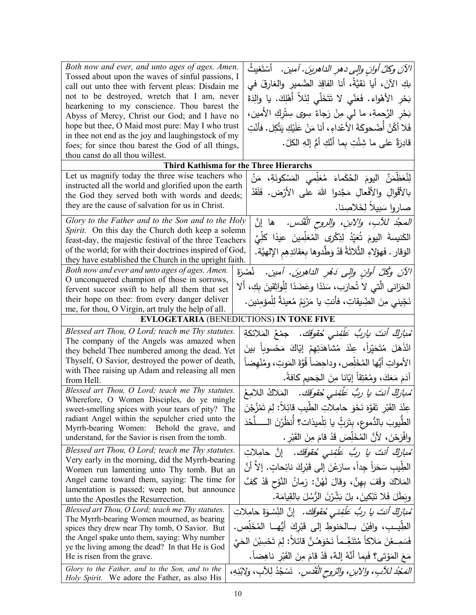| Both now and ever, and unto ages of ages. Amen.<br>Tossed about upon the waves of sinful passions, I<br>call out unto thee with fervent pleas: Disdain me<br>not to be destroyed, wretch that I am, never<br>hearkening to my conscience. Thou barest the<br>Abyss of Mercy, Christ our God; and I have no<br>hope but thee, O Maid most pure: May I who trust<br>in thee not end as the joy and laughingstock of my<br>foes; for since thou barest the God of all things,<br>thou canst do all thou willest. | الآنَ وكلَّ أوانِ والٍى دهرِ الداهرينَ. آمين.    أَسْتَغيثُ<br>بكِ الآنَ، أيا نَقيَّةُ، أنا الفاقِدَ الضَّميرِ والغارِقَ في<br>بَحْرِ   الأَهْواءِ.  فَعَنّى  لا  تَتَخَلّى  لِئَلاّ  أَهْلِكَ.  يا  والِدَةَ<br>بَحْرِ الرَّحمةِ، ما لي مِنْ رَجاءٌ سِوى سِتْرِكِ الأمينِ،<br>فَلا أَكُنْ أَضْحوكَةَ الأَعْداءِ ، أنا مَنْ عَلَيْكِ يَتَّكِل. فأنْتِ<br>قادِرَةٌ على ما شِئْتِ بما أنَّكِ أمُّ إلهِ الكلِّ .                                                                                     |  |
|---------------------------------------------------------------------------------------------------------------------------------------------------------------------------------------------------------------------------------------------------------------------------------------------------------------------------------------------------------------------------------------------------------------------------------------------------------------------------------------------------------------|---------------------------------------------------------------------------------------------------------------------------------------------------------------------------------------------------------------------------------------------------------------------------------------------------------------------------------------------------------------------------------------------------------------------------------------------------------------------------------------------------|--|
|                                                                                                                                                                                                                                                                                                                                                                                                                                                                                                               | <b>Third Kathisma for the Three Hierarchs</b>                                                                                                                                                                                                                                                                                                                                                                                                                                                     |  |
| Let us magnify today the three wise teachers who<br>instructed all the world and glorified upon the earth<br>the God they served both with words and deeds;<br>they are the cause of salvation for us in Christ.                                                                                                                                                                                                                                                                                              | لِنُعَظِّمَنَّ اليومَ الحُكَماءَ مُعَلِّمي المَسْكونَةِ، مَنْ<br>بالأَقْوالِ والأَفْعالِ مَجَّدوا اللهَ على الأَرْض. فَلَقَدْ<br>صاروا سَبِيلاً لِخَلاصِنا.                                                                                                                                                                                                                                                                                                                                       |  |
| Glory to the Father and to the Son and to the Holy                                                                                                                                                                                                                                                                                                                                                                                                                                                            | <i>المجدُ للآبِ، والابنِ، والروح القُدُس.</i> ها إنَّ                                                                                                                                                                                                                                                                                                                                                                                                                                             |  |
| Spirit. On this day the Church doth keep a solemn<br>feast-day, the majestic festival of the three Teachers<br>of the world; for with their doctrines inspired of God,<br>they have established the Church in the upright faith.                                                                                                                                                                                                                                                                              | الكَنيسةَ اليومَ تُعَيِّدُ لِذِكْرِى المُعَلِّمينَ عيدًا كلِّيَّ<br>الوَقارِ . فَهؤلاءِ الثَّلاثَةُ قَدْ وَطِّدوها بِعَقائدِهِمِ الإلهيَّة.                                                                                                                                                                                                                                                                                                                                                       |  |
| Both now and ever and unto ages of ages. Amen.<br>الآنَ وكُلَّ أُولنِ والِّي دَهْرِ الداهِرِينَ. آمين.   نُصْرَةَ<br>O unconquered champion of those in sorrows,<br>الحَزاني الَّتي لا تُحارَب، سَنَدًا وعَضَدًا لِلْواثِقِينَ بِكِ، أَلا<br>fervent succor swift to help all them that set<br>their hope on thee: from every danger deliver<br>نَجِّيني مِنَ الضِّيقاتِ، فأنتِ يا مَرْيَمُ مُعينَةٌ لِلْمؤمِنين.<br>me, for thou, O Virgin, art truly the help of all.                                       |                                                                                                                                                                                                                                                                                                                                                                                                                                                                                                   |  |
|                                                                                                                                                                                                                                                                                                                                                                                                                                                                                                               | EVLOGETARIA (BENEDICTIONS) IN TONE FIVE                                                                                                                                                                                                                                                                                                                                                                                                                                                           |  |
| Blessed art Thou, O Lord; teach me Thy statutes.<br>The company of the Angels was amazed when<br>they beheld Thee numbered among the dead. Yet<br>Thyself, O Savior, destroyed the power of death,<br>with Thee raising up Adam and releasing all men<br>from Hell.<br>Blessed art Thou, O Lord; teach me Thy statutes.<br>Wherefore, O Women Disciples, do ye mingle<br>sweet-smelling spices with your tears of pity? The<br>radiant Angel within the sepulcher cried unto the                              | مُ <i>بازِكٌ أنتَ ياربٌ عَلَّفِنى حُقوقَكَ.</i> جمْعُ المَلائكةِ<br>انْذَهَلَ مُتَحَيّراً، عِنْدَ مُشاهَدَتِهمْ إيّاكَ مَحْسوباً بينَ<br>الأمواتِ أَيُّها المُخَلِّص، وداحِضاً قُوَّةَ المَوتِ، ومُنْهِضاً<br>آدَمَ مَعَكَ، ومُعْتِقاً إِيّانا مِنَ الْجَحيم كافةً.<br>مُ <i>بارَكٌ أنتَ يا ربَّ عَلَّفِنى حُقوقَك.</i> المَلاكُ اللامِعُ<br>عِنْدَ القَبْرِ تَفَوَّهَ نَحْوَ حامِلاتِ الطَّيبِ قائِلاً: لِمَ تَمْزُجْنَ<br>الطَّيوبَ بالدُّموعِ، بِتَرَبٍّ يا تِلْميذات؟ أنظُرْنَ الـــــلَّحْدَ |  |
| Myrrh-bearing Women: Behold the grave, and                                                                                                                                                                                                                                                                                                                                                                                                                                                                    |                                                                                                                                                                                                                                                                                                                                                                                                                                                                                                   |  |
| understand, for the Savior is risen from the tomb.                                                                                                                                                                                                                                                                                                                                                                                                                                                            | وافْرَحْنَ، لأَنَّ الْمُخَلِّصَ قَدْ قامَ مِنَ القَبْرِ .                                                                                                                                                                                                                                                                                                                                                                                                                                         |  |
| Blessed art Thou, O Lord; teach me Thy statutes.<br>Very early in the morning, did the Myrrh-bearing<br>Women run lamenting unto Thy tomb. But an<br>Angel came toward them, saying: The time for<br>lamentation is passed; weep not, but announce<br>unto the Apostles the Resurrection.                                                                                                                                                                                                                     | مُ <i>بازِكٌ أنتَ يا ربُّ عَلَّفِنى حُقوقَك.</i> إنَّ حامِلاتِ<br>الطِّيبِ سَحَراً جِداً، سارَعْنَ إِلَى قَبْرِكَ نائِحاتٍ. إِلاَّ أَنَّ<br>المَلاكَ وقَفَ بِهِنَّ، وقالَ لَهُنَّ: زمانُ النَّوْحِ قَدْ كَفَّ<br>وبَطْلَ فَلا تَبْكينَ، بلْ بَشِّرْنَ الرُّسُلَ بِالْقِيامَةِ.                                                                                                                                                                                                                    |  |
| Blessed art Thou, O Lord; teach me Thy statutes.<br>The Myrrh-bearing Women mourned, as bearing<br>spices they drew near Thy tomb, O Savior. But                                                                                                                                                                                                                                                                                                                                                              | ُ <i>مبارَكٌ أنتَ يا ربُّ عَلَّفِنى مُقوقَك.</i> إنَّ النِّسْوَةَ حامِلاتِ<br>الطِّيــبِ، وافَيْنَ بِــالْحَنوطِ إِلَى قَبْرِكَ أَيُّهِــا الْمُخَلِّص.                                                                                                                                                                                                                                                                                                                                           |  |
| the Angel spake unto them, saying: Why number<br>ye the living among the dead? In that He is God                                                                                                                                                                                                                                                                                                                                                                                                              | فَسَمِــعْنَ مَلاكاً مُتَنَغِّــماً نَحْوَهُـنَّ قائلاً: لِمَ تَحْسِبْنَ الْحَيَّ                                                                                                                                                                                                                                                                                                                                                                                                                 |  |
| He is risen from the grave.                                                                                                                                                                                                                                                                                                                                                                                                                                                                                   | مَعَ المَوْتِي؟ فَبِما أَنَّهُ إِلَٰهٌ، قَدْ قَامَ مِنَ الْقَبْرِ ناهِضاً.                                                                                                                                                                                                                                                                                                                                                                                                                        |  |
| Glory to the Father, and to the Son, and to the<br>Holy Spirit. We adore the Father, as also His                                                                                                                                                                                                                                                                                                                                                                                                              | المَجْدُ للآبِ، والابنِ، والتروح القُدْسِ. ۖ نَسْجُدُ لِلآبِ، ولابْنِهِ،                                                                                                                                                                                                                                                                                                                                                                                                                          |  |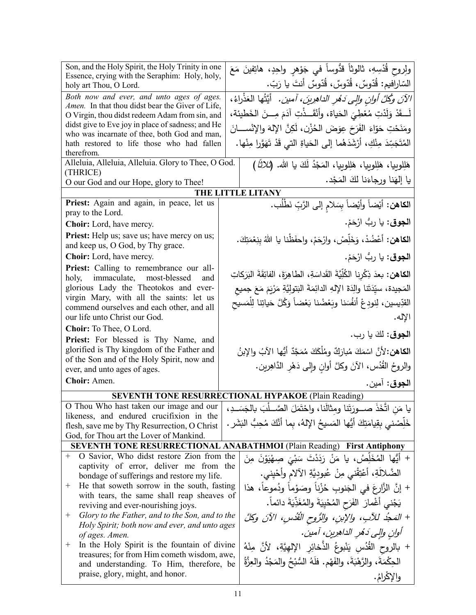| Son, and the Holy Spirit, the Holy Trinity in one<br>Essence, crying with the Seraphim: Holy, holy,        |  | ولِروحٍ قُدْسِهِ، ثالوثاً قدُّوساً في جَوْهرِ واحِدٍ، هاتِفينَ مَعَ                                                |  |
|------------------------------------------------------------------------------------------------------------|--|--------------------------------------------------------------------------------------------------------------------|--|
| holy art Thou, O Lord.                                                                                     |  | السّارافيم: قُدّوسٌ، قُدّوسٌ، قُدّوسٌ أنتَ يا رَبّ.                                                                |  |
| Both now and ever, and unto ages of ages.<br>Amen. In that thou didst bear the Giver of Life,              |  | الآنَ وكُلَّ أُولِن وإلى دَهْرِ الدَاهِرِينَ، آمين. ۖ أَيَّتُها الْعَذْرَاءُ،                                      |  |
| O Virgin, thou didst redeem Adam from sin, and                                                             |  | لَــقَدْ وَلَدْتِ مُعْطِيَ الحَياة، وأَنْقَــذْتِ آدَمَ مِـــنَ الخَطيئة،                                          |  |
| didst give to Eve joy in place of sadness; and He                                                          |  | ومَنَحْتِ حَوّاءَ الفَرَحَ عِوَضَ الحُزْنِ، لَكِنَّ الإِلهَ والإِنْســـانَ                                         |  |
| who was incarnate of thee, both God and man,                                                               |  |                                                                                                                    |  |
| hath restored to life those who had fallen<br>therefrom.                                                   |  | الْمُتَجَسِّدَ مِنْكِ، أَرْشَدَهُما إِلَى الْحَياةِ الَّتِي قَدْ تَهَوَّرا مِنْها.                                 |  |
| Alleluia, Alleluia, Alleluia. Glory to Thee, O God.                                                        |  |                                                                                                                    |  |
| (THRICE)                                                                                                   |  | هَلِلوبِيا، هَلِلوبِيا، هَلِلوبِيا، المَجْدُ لَكَ يا الله. (ثلاثًا )                                               |  |
| O our God and our Hope, glory to Thee!                                                                     |  | يا إلهَنا ورجاءَنا لكَ المَجْد.                                                                                    |  |
|                                                                                                            |  | <b>THE LITTLE LITANY</b>                                                                                           |  |
| Priest: Again and again, in peace, let us                                                                  |  | الكاهن: أيْضاً وأيْضاً بِسَلامٍ إلى الرَّبِّ نَطْلُب.                                                              |  |
| pray to the Lord.                                                                                          |  |                                                                                                                    |  |
| Choir: Lord, have mercy.                                                                                   |  | ا <b>لجوق</b> : يا ربُّ ارْحَمْ.                                                                                   |  |
| Priest: Help us; save us; have mercy on us;                                                                |  | الكاهن: أعْضُدْ، وَخَلِّصْ، وارْحَمْ، واحفَظْنا يا اللهُ بِنِعْمَتِكَ.                                             |  |
| and keep us, O God, by Thy grace.                                                                          |  |                                                                                                                    |  |
| Choir: Lord, have mercy.                                                                                   |  | ا <b>لجوق</b> : يا ربُّ ارْحَمْ.                                                                                   |  |
| Priest: Calling to remembrance our all-                                                                    |  | الكاهن: بعدَ ذِكْرِنا الكُلِّيَّةَ القَداسَةِ، الطاهِرَةَ، الفائِقَةَ البَرَكاتِ                                   |  |
| holy, immaculate, most-blessed<br>and                                                                      |  |                                                                                                                    |  |
| glorious Lady the Theotokos and ever-<br>virgin Mary, with all the saints: let us                          |  | المَجيدة، سيِّدَتَنا والِدَةَ الإِلهِ الدائِمَةَ البَتولِيَّةِ مَرْيَمَ مَعَ جميع                                  |  |
| commend ourselves and each other, and all                                                                  |  | القدِّيسين، لِنودِعْ أَنفُسَنا وبَعْضُنا بَعْضاً وَكُلَّ حَياتِنا لِلْمَسيح                                        |  |
| our life unto Christ our God.                                                                              |  | الإله.                                                                                                             |  |
| Choir: To Thee, O Lord.                                                                                    |  |                                                                                                                    |  |
| Priest: For blessed is Thy Name, and                                                                       |  | ا <b>لجوق</b> : لكَ يا رب.                                                                                         |  |
| glorified is Thy kingdom of the Father and                                                                 |  | ا <b>لكاهن:</b> لأنَّ اسْمَكَ مُبارَكٌ ومُلْكَكَ مُمَجَّدٌ أيُّها الآبُ والإِبنُ                                   |  |
| of the Son and of the Holy Spirit, now and                                                                 |  | والروحُ القُدُس، الآنَ وكلَّ أوانِ وإلى دَهْرِ الدَّاهِرين.                                                        |  |
| ever, and unto ages of ages.                                                                               |  |                                                                                                                    |  |
| Choir: Amen.                                                                                               |  | ا <b>لجوق</b> : آمين.                                                                                              |  |
|                                                                                                            |  | SEVENTH TONE RESURRECTIONAL HYPAKOE (Plain Reading)                                                                |  |
|                                                                                                            |  | يا مَن اتَّخَذَ صـــورَتَنا ومثالَنا، واحْتَمَلَ الصَّـــلْبَ بالجَسَــدِ، O Thou Who hast taken our image and our |  |
| likeness, and endured crucifixion in the                                                                   |  |                                                                                                                    |  |
| flesh, save me by Thy Resurrection, O Christ                                                               |  | خَلِّصْنِي بقِيامَتِكَ أَيُّها المَسيخُ اﻹلهُ، بما أَنَّكَ مُحِبُّ البَشَرِ .                                      |  |
| God, for Thou art the Lover of Mankind.                                                                    |  |                                                                                                                    |  |
| O Savior, Who didst restore Zion from the<br>$^{+}$                                                        |  | <b>SEVENTH TONE RESURRECTIONAL ANABATHMOI (Plain Reading) First Antiphony</b>                                      |  |
| captivity of error, deliver me from the                                                                    |  | + أَيُّها الْمُخَلِّصُ، يا مَنْ رَدَدْتَ سَبْيَ صِهْيَوْنَ مِنَ                                                    |  |
| bondage of sufferings and restore my life.                                                                 |  | الضَّلاَلَةِ، أَعْتِقْنِي مِنْ عُبُودِيَّةِ الآلام وأَحْيِنِي.                                                     |  |
| He that soweth sorrow in the south, fasting<br>$^+$                                                        |  | + إنَّ الزَّارعَ في الْجَنوبِ حُزْناً وصَوْماً ودُموعاً، هذا                                                       |  |
| with tears, the same shall reap sheaves of                                                                 |  |                                                                                                                    |  |
| reviving and ever-nourishing joys.                                                                         |  | يَجْني أَغْمارَ الفَرَحِ الْمُحْيِيَةَ والْمُغَذِّيَةَ دائماً.                                                     |  |
| Glory to the Father, and to the Son, and to the<br>$^{+}$<br>Holy Spirit; both now and ever, and unto ages |  | + المَجْدُ للآبِ، والإبنِ، والرُّوحِ الْقُدُسِ، الآنَ وكُلَّ                                                       |  |
| of ages. Amen.                                                                                             |  | أوان والي دَهُرِ الداهرِينِ، آمينِ.                                                                                |  |
| In the Holy Spirit is the fountain of divine<br>$^+$                                                       |  | + بالروح القُدُسِ يَنْبوعُ الذّخائِرِ الإِلهِيَّةِ، لأَنَّ مِنْهُ                                                  |  |
| treasures; for from Him cometh wisdom, awe,<br>and understanding. To Him, therefore, be                    |  | الْحِكْمَةَ، والرَّهْبَةَ، والفَهْم. فلَهُ السُّبْحُ والمَجْدُ والعِزَّةُ                                          |  |
| praise, glory, might, and honor.                                                                           |  | والإكْرامُ.                                                                                                        |  |
|                                                                                                            |  |                                                                                                                    |  |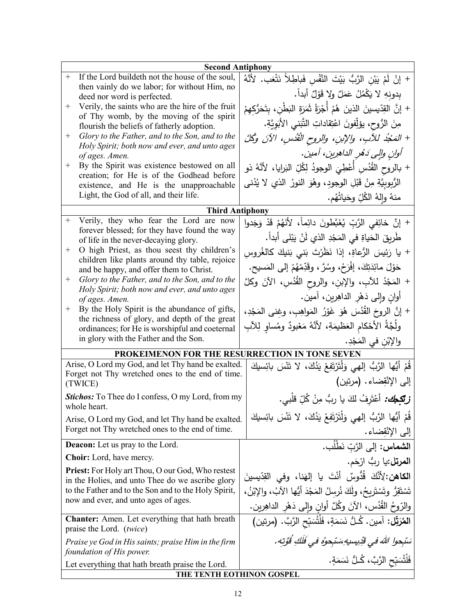| <b>Second Antiphony</b>                                                                                                                            |                                                                            |  |  |
|----------------------------------------------------------------------------------------------------------------------------------------------------|----------------------------------------------------------------------------|--|--|
| If the Lord buildeth not the house of the soul,<br>$^{+}$                                                                                          | + إِنْ لَمْ يَبْنِ الرَّبُّ بَيْتَ النَّفْسِ فَباطِلاً نَتْعَب. لأَنَّهُ   |  |  |
| then vainly do we labor; for without Him, no<br>deed nor word is perfected.                                                                        | بدونهِ لا يَكْمُلُ عَمَلٌ ولا قَوْلٌ أَبِداً.                              |  |  |
| Verily, the saints who are the hire of the fruit<br>$^{+}$                                                                                         | + إنَّ القِدّيسينَ الذينَ هُمْ أَجْرَةُ ثَمَرَةِ النَطْنِ، بِتَحَرُّكِهِمْ |  |  |
| of Thy womb, by the moving of the spirit<br>flourish the beliefs of fatherly adoption.                                                             | مِنَ الرُّوحِ، يؤلِّفونَ اعْتِقاداتِ التَّبَنى الأبَويَّةِ.                |  |  |
| Glory to the Father, and to the Son, and to the<br>$^+$                                                                                            | + المَجْدُ للآبِ، والإبنِ، والروح الْقُدُسِ، الآنَ وكُلَّ                  |  |  |
| Holy Spirit; both now and ever, and unto ages                                                                                                      |                                                                            |  |  |
| of ages. Amen.<br>By the Spirit was existence bestowed on all<br>$^+$                                                                              | أوانِ والِي دَهْرِ الداهِرِينِ، آمينِ.                                     |  |  |
| creation; for He is of the Godhead before                                                                                                          | + بالروح القُدُسِ أَعْطِيَ الوجودُ لِكُلِّ النَرايا، لأنَّهُ ذو            |  |  |
| existence, and He is the unapproachable                                                                                                            | الرُّبوبيَّةِ مِنْ قَبْلِ الوجودِ، وهُوَ النورُ الذي لا يُدْنى             |  |  |
| Light, the God of all, and their life.                                                                                                             | منهُ وإِلهُ الكُلِّ وحَياتُهُم.                                            |  |  |
|                                                                                                                                                    | <b>Third Antiphony</b>                                                     |  |  |
| Verily, they who fear the Lord are now<br>$^{+}$<br>forever blessed; for they have found the way                                                   | + إِنَّ خائِفي الرَّبِّ يُغَبَّطونَ دائِماً، لأَنَهُمْ قَدْ وَجَدوا        |  |  |
| of life in the never-decaying glory.                                                                                                               | طَرِيقَ الحَياةِ في المَجْدِ الذي لَنْ يَبْلي أبداً.                       |  |  |
| O high Priest, as thou seest thy children's<br>$^+$                                                                                                | + يا رَئِيسَ الرُّعاةِ، إذا نَظَرْتَ بَنى بَنيكَ كالغُروس                  |  |  |
| children like plants around thy table, rejoice<br>and be happy, and offer them to Christ.                                                          | حَوْلَ مائِدَتِكَ، إفْرَحْ، وسُرَّ ، وقَدِّمْهُمْ إلى المَسيح.             |  |  |
| Glory to the Father, and to the Son, and to the<br>$^{+}$                                                                                          | + المَجْدُ للأَبِ، والإبنِ، والروح القُدُسِ، الآنَ وكلَّ                   |  |  |
| Holy Spirit; both now and ever, and unto ages<br>of ages. Amen.                                                                                    | أوان وإلى دَهْرِ الداهِرينِ، آمين.                                         |  |  |
| By the Holy Spirit is the abundance of gifts,<br>$^{+}$                                                                                            | + إنَّ الروحَ القُدُسَ هُوَ غَوْرُ المَواهِبِ، وغِني المَجْدِ،             |  |  |
| the richness of glory, and depth of the great                                                                                                      | ولُجَّةُ الأَحْكام العَظيمَةِ، لأَنَّهُ مَعْبودٌ ومُساوٍ لِلآبِ            |  |  |
| ordinances; for He is worshipful and coeternal<br>in glory with the Father and the Son.                                                            |                                                                            |  |  |
|                                                                                                                                                    | والإِبْنِ في المَجْدِ.<br>PROKEIMENON FOR THE RESURRECTION IN TONE SEVEN   |  |  |
| Arise, O Lord my God, and let Thy hand be exalted.                                                                                                 |                                                                            |  |  |
| Forget not Thy wretched ones to the end of time.                                                                                                   | قُمْ أَيُّها الرَّبُّ إِلهِي وَلْتَرْتَفِعْ يَذُكَ، لا تَنْسَ بِائِسِيكَ   |  |  |
| (TWICE)                                                                                                                                            | إلى الإنْقِضاء. (مرتين)                                                    |  |  |
| <b>Stichos:</b> To Thee do I confess, O my Lord, from my<br><b><i>زِيْكِـطِكَ:</i></b> أَعْتَرِفُ لَكَ يا رِبُّ مِنْ كُلِّ قلْبِي.<br>whole heart. |                                                                            |  |  |
| قُمْ أَيُّها الرَّبُّ إلهي وَلْتَرْتَفِعْ يَذُكَ، لا تَنْسَ بِائِسِيكَ<br>Arise, O Lord my God, and let Thy hand be exalted.                       |                                                                            |  |  |
| Forget not Thy wretched ones to the end of time.                                                                                                   | إلى الإنْقِضاء.                                                            |  |  |
| <b>Deacon:</b> Let us pray to the Lord.                                                                                                            | الشماس: إلى الرَّبّ نَطْلُب.                                               |  |  |
| <b>Choir:</b> Lord, have mercy.                                                                                                                    | ا <b>لمرتل:</b> يا ربُّ ارْحَم.                                            |  |  |
| <b>Priest:</b> For Holy art Thou, O our God, Who restest                                                                                           | ا <b>لكاهن:</b> لِأنَّكَ قُدُّوسٌ أَنْتَ يا إِلهَنا، وفي القِدّيسينَ       |  |  |
| in the Holies, and unto Thee do we ascribe glory<br>to the Father and to the Son and to the Holy Spirit,                                           | تَسْتَقِرُّ وتَسْتَرِيحُ، ولَكَ نُرسِلُ المَجْدَ أَيُّها الآبُ، والإِبْنُ، |  |  |
| now and ever, and unto ages of ages.                                                                                                               | والرّوحُ القُدُس، الآنَ وكُلَّ أوانِ وإلى دَهْرِ الداهِرين.                |  |  |
| <b>Chanter:</b> Amen. Let everything that hath breath                                                                                              | ا <b>لمُرَتِّل:</b> آمين. كُـلُّ نَسَمَةٍ، فَلْتُسَبِّحِ الرَّبَّ. (مرتين) |  |  |
| praise the Lord. (twice)                                                                                                                           |                                                                            |  |  |
| Praise ye God in His saints; praise Him in the firm<br>foundation of His power.                                                                    | سَبْحوا اللهَ في قَدِيسيهِ سَبْحوُهِ في فَلَكِ قُوَّتِه .                  |  |  |
| فَلْتُسَبِّحِ الرَّبَّ، كُـلُّ نَسَمَةٍ.<br>Let everything that hath breath praise the Lord.                                                       |                                                                            |  |  |
| THE TENTH EOTHINON GOSPEL                                                                                                                          |                                                                            |  |  |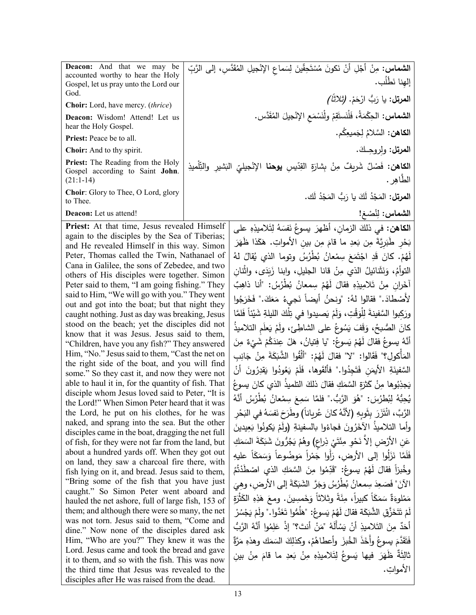|                                                                                                                                                                                                                                                                                                                                                                                                            | Deacon: And that we may be<br>accounted worthy to hear the Holy<br>Gospel, let us pray unto the Lord our | ا <b>لشماس:</b> مِنْ أَجْلِ أَنْ نَكونَ مُسْتَحِقِّينَ لِسَماعِ الإِنْجِيلِ الْمُقَدَّسِ، إلى الرَّبِّ<br>إلهنا نَطْلُب. |                                                                                                                    |  |
|------------------------------------------------------------------------------------------------------------------------------------------------------------------------------------------------------------------------------------------------------------------------------------------------------------------------------------------------------------------------------------------------------------|----------------------------------------------------------------------------------------------------------|--------------------------------------------------------------------------------------------------------------------------|--------------------------------------------------------------------------------------------------------------------|--|
|                                                                                                                                                                                                                                                                                                                                                                                                            | God.<br>Choir: Lord, have mercy. (thrice)                                                                | ا <b>لمرتل:</b> يا رَبُّ ارْحَمْ. <i>(تْلاثَاً)</i>                                                                      |                                                                                                                    |  |
|                                                                                                                                                                                                                                                                                                                                                                                                            | Deacon: Wisdom! Attend! Let us                                                                           |                                                                                                                          | ا <b>لشماس:</b> الحِكْمَةُ، فَلْنَستَقِمْ ولْنَسْمَع الإِنْجيلَ المُقَدَّس.                                        |  |
|                                                                                                                                                                                                                                                                                                                                                                                                            | hear the Holy Gospel.                                                                                    |                                                                                                                          | الكاهن: السَّلامُ لِجَميعِكُم.                                                                                     |  |
|                                                                                                                                                                                                                                                                                                                                                                                                            | Priest: Peace be to all.                                                                                 |                                                                                                                          |                                                                                                                    |  |
|                                                                                                                                                                                                                                                                                                                                                                                                            | Choir: And to thy spirit.                                                                                |                                                                                                                          | العرتل: ولروجِكَ.                                                                                                  |  |
|                                                                                                                                                                                                                                                                                                                                                                                                            | Priest: The Reading from the Holy<br>Gospel according to Saint John.<br>$(21:1-14)$                      |                                                                                                                          | ا <b>لكاهن:</b> فَصْلٌ شَريِفٌ مِنْ بِشارَةِ القِدّيسِ <b>يوحنا</b> الإِنْجيليّ البَشيرِ والتِّلْميذِ<br>الطاهِر . |  |
|                                                                                                                                                                                                                                                                                                                                                                                                            | Choir: Glory to Thee, O Lord, glory<br>to Thee.                                                          |                                                                                                                          | ا <b>لمرتل:</b> المَجْدُ لَكَ يا رَبُّ المَجْدُ لَك.                                                               |  |
|                                                                                                                                                                                                                                                                                                                                                                                                            | Deacon: Let us attend!                                                                                   |                                                                                                                          | الشماس: لِنُصْغ!                                                                                                   |  |
|                                                                                                                                                                                                                                                                                                                                                                                                            | Priest: At that time, Jesus revealed Himself                                                             |                                                                                                                          | الكاهن: في ذلكَ الزمان، أظهرَ يسوعُ نَفسَهُ لِتَلامِيذِهِ على                                                      |  |
|                                                                                                                                                                                                                                                                                                                                                                                                            | again to the disciples by the Sea of Tiberias;                                                           |                                                                                                                          | بَحْرٍ طَٰبَرِيَّةَ مِن بَعدِ ما قامَ مِن بينِ الأُمواتِ. هَكَذا ظَهَرَ                                            |  |
|                                                                                                                                                                                                                                                                                                                                                                                                            | and He revealed Himself in this way. Simon<br>Peter, Thomas called the Twin, Nathanael of                |                                                                                                                          |                                                                                                                    |  |
|                                                                                                                                                                                                                                                                                                                                                                                                            | Cana in Galilee, the sons of Zebedee, and two                                                            |                                                                                                                          | لَهُمْ. كَانَ قَدِ اجْتَمَعَ سِمْعانُ بُطْرُسُ وتوما الذي يُقالُ لَهُ                                              |  |
|                                                                                                                                                                                                                                                                                                                                                                                                            | others of His disciples were together. Simon                                                             |                                                                                                                          | التوأمُ، وَنَثَنائيلُ الذي مِنْ قانا الجليلِ، وابنا زَبَدَى، واثْنان                                               |  |
|                                                                                                                                                                                                                                                                                                                                                                                                            | Peter said to them, "I am going fishing." They                                                           |                                                                                                                          | آخَران مِنْ تَلامِيذِهِ فقالَ لَهُمْ سِمعانُ بُطْرُسُ: "أنا ذاهِبٌ                                                 |  |
|                                                                                                                                                                                                                                                                                                                                                                                                            | said to Him, "We will go with you." They went                                                            |                                                                                                                          | لأصْطادَ." فقالوا لهُ: "ونحنُ أيضاً نَجيءُ مَعَكَ." فَخَرَجُوا                                                     |  |
|                                                                                                                                                                                                                                                                                                                                                                                                            | out and got into the boat; but that night they                                                           |                                                                                                                          | ورَكِبوا السَّفينةَ لِلْوَقْتِ، وَلَمْ يَصيدوا في تِلْكَ الليلةِ شَيْئاً فَلمَّا                                   |  |
|                                                                                                                                                                                                                                                                                                                                                                                                            | caught nothing. Just as day was breaking, Jesus<br>stood on the beach; yet the disciples did not         |                                                                                                                          |                                                                                                                    |  |
| know that it was Jesus. Jesus said to them,<br>"Children, have you any fish?" They answered<br>Him, "No." Jesus said to them, "Cast the net on<br>the right side of the boat, and you will find<br>some." So they cast it, and now they were not<br>able to haul it in, for the quantity of fish. That<br>disciple whom Jesus loved said to Peter, "It is<br>the Lord!" When Simon Peter heard that it was |                                                                                                          |                                                                                                                          | كانَ الصُّبحُ، وَقَفَ يَسُوعُ على الشاطِئِ، ولَمْ يَعلَم التلاميذُ                                                 |  |
|                                                                                                                                                                                                                                                                                                                                                                                                            |                                                                                                          |                                                                                                                          | أَنَّهُ يسوعُ فقالَ لَهُمْ يَسوعُ: "يا فِتيانُ، هَلْ عِندَكُمْ شَيْءٌ مِنَ                                         |  |
|                                                                                                                                                                                                                                                                                                                                                                                                            |                                                                                                          |                                                                                                                          | المَأْكُولِ؟" فَقَالُوا: "لا" فقالَ لَهُمْ: "أَنْقُوا الشَّبَكَةَ مِنْ جَانِبِ                                     |  |
|                                                                                                                                                                                                                                                                                                                                                                                                            |                                                                                                          |                                                                                                                          | السَّفينَةِ الأيمَنِ فَتَجِدُوا." فأَلقَوها، فَلَمْ يَعُودُوا يَقدِرُونَ أَنْ                                      |  |
|                                                                                                                                                                                                                                                                                                                                                                                                            |                                                                                                          |                                                                                                                          | يَجذِبُوها مِنْ كَثْرَةِ السَّمَكِ فقالَ ذلكَ التلميذُ الذي كانَ يسوعُ                                             |  |
|                                                                                                                                                                                                                                                                                                                                                                                                            |                                                                                                          |                                                                                                                          | يُحِبُّهُ لِبُطْرُسَ: "هُوَ الزَّبُّ." فلمَّا سَمِعَ سِمْعانُ بُطْرُسُ أَنَّهُ                                     |  |
|                                                                                                                                                                                                                                                                                                                                                                                                            |                                                                                                          |                                                                                                                          |                                                                                                                    |  |
|                                                                                                                                                                                                                                                                                                                                                                                                            | the Lord, he put on his clothes, for he was<br>naked, and sprang into the sea. But the other             |                                                                                                                          | الرَّبَّ، ائْتَزَرَ بِثَوبِهِ (لأنَّهُ كانَ عُرياناً) وطَرَحَ نَفسَهُ في البَحْرِ                                  |  |
|                                                                                                                                                                                                                                                                                                                                                                                                            | disciples came in the boat, dragging the net full                                                        |                                                                                                                          | وأما التلاميذُ الأخَرُونَ فجاءُوا بالسفينةِ (ولَمْ يَكونُوا بَعِيدينَ                                              |  |
|                                                                                                                                                                                                                                                                                                                                                                                                            | of fish, for they were not far from the land, but<br>about a hundred yards off. When they got out        |                                                                                                                          | عَنِ الأَرْضِ إلاَّ نَحْوِ مِئَتَيْ ذِراعٍ) وهُمْ يَجُرُّونَ شَبَكَةَ السَمَكِ                                     |  |
|                                                                                                                                                                                                                                                                                                                                                                                                            |                                                                                                          |                                                                                                                          | فَلَمَّا نَزَلُوا إِلَى الأَرضِ، رَأُوا جَمْراً مَوضُوعاً وَسَمَكَاً عليهِ                                         |  |
|                                                                                                                                                                                                                                                                                                                                                                                                            | on land, they saw a charcoal fire there, with                                                            |                                                                                                                          | وخُبزاً فقالَ لَهُمْ يسوعُ: "قَدِّمُوا مِنَ السَّمَكِ الذي اصْطَدْتُمُ                                             |  |
|                                                                                                                                                                                                                                                                                                                                                                                                            | fish lying on it, and bread. Jesus said to them,<br>"Bring some of the fish that you have just           |                                                                                                                          |                                                                                                                    |  |
|                                                                                                                                                                                                                                                                                                                                                                                                            | caught." So Simon Peter went aboard and                                                                  |                                                                                                                          | الآنَ" فَصَعِدَ سِمعانُ بُطْرُسُ وَجَرَّ الشَبَكَةَ إِلَى الأرضِ، وهِيَ                                            |  |
|                                                                                                                                                                                                                                                                                                                                                                                                            | hauled the net ashore, full of large fish, 153 of                                                        |                                                                                                                          | مَمْلوءَةٌ سَمَكَاً كبيراً، مِئَةً وثلاثاً وَخَمسِينَ. ومعَ هَذِهِ الكَثْرَة                                       |  |
|                                                                                                                                                                                                                                                                                                                                                                                                            | them; and although there were so many, the net                                                           |                                                                                                                          | لَمْ تَتَخَزَّقِ الشَّبَكَة فقالَ لَهُمْ يَسوعُ: "هَلُمُّوا تَغَدَّوا." ولَمْ يَجْسُرْ                             |  |
|                                                                                                                                                                                                                                                                                                                                                                                                            | was not torn. Jesus said to them, "Come and<br>dine." Now none of the disciples dared ask                |                                                                                                                          | أَحَدٌ مِنَ النَّلاميذِ أَنْ يَسْأَلَهُ "مَنْ أَنتَ؟" إِذْ عَلِمُوا أَنَّهُ الرَّبُّ                               |  |
|                                                                                                                                                                                                                                                                                                                                                                                                            | Him, "Who are you?" They knew it was the                                                                 |                                                                                                                          | فَتَقَدَّمَ يسوعُ وأخَذَ الخُبزَ وأعطاهُمْ، وكذلِكَ السَمَك وهذهِ مَرَّةٌ                                          |  |
|                                                                                                                                                                                                                                                                                                                                                                                                            | Lord. Jesus came and took the bread and gave                                                             |                                                                                                                          | ثَالِثَةٌ ظَهَرَ فيها يَسوعُ لِتَلاميذِهِ مِنْ بَعدِ ما قامَ مِنْ بين                                              |  |
|                                                                                                                                                                                                                                                                                                                                                                                                            | it to them, and so with the fish. This was now                                                           |                                                                                                                          |                                                                                                                    |  |
|                                                                                                                                                                                                                                                                                                                                                                                                            | the third time that Jesus was revealed to the<br>disciples after He was raised from the dead.            |                                                                                                                          | الأمواتِ.                                                                                                          |  |
|                                                                                                                                                                                                                                                                                                                                                                                                            |                                                                                                          |                                                                                                                          |                                                                                                                    |  |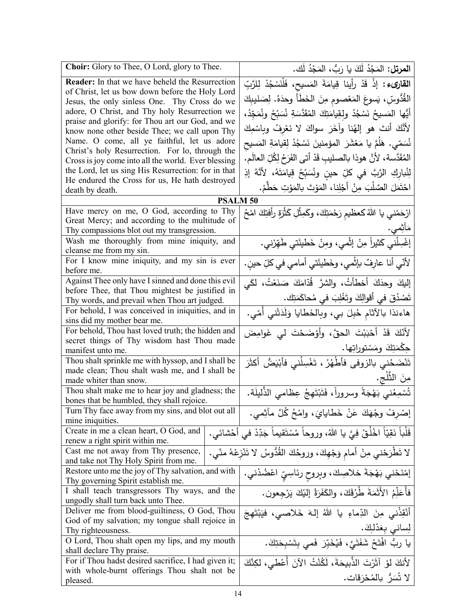| Choir: Glory to Thee, O Lord, glory to Thee.                                                         | ا <b>لمرتل:</b> المَجْدُ لَكَ يا رَبُّ، المَجْدُ لَك.                            |
|------------------------------------------------------------------------------------------------------|----------------------------------------------------------------------------------|
| Reader: In that we have beheld the Resurrection                                                      | ا <b>لقارىء :</b> إذْ قَدْ رأينا قِيامَةَ المَسيح، فَلْنَسْجُدْ لِلرَّبِّ        |
| of Christ, let us bow down before the Holy Lord<br>Jesus, the only sinless One. Thy Cross do we      | القُدُّوسِّ، يَسوعَ المَعْصومِ مِنَ الخَطَأَ وحدَهُ. لِصَليبِكَ                  |
| adore, O Christ, and Thy holy Resurrection we                                                        | أَيُّها المَسيحُ نَسْجُدُ ولقِيامَتِكَ المُقَدَّسَةِ نُسَبِّحُ ونُمَجِّدُ،       |
| praise and glorify: for Thou art our God, and we                                                     |                                                                                  |
| know none other beside Thee; we call upon Thy                                                        | لأَنَّكَ أَنتَ هو إلهُنا وآخَرَ سواكَ لا نَعْرِفُ وبِاسْمِكَ                     |
| Name. O come, all ye faithful, let us adore<br>Christ's holy Resurrection. For lo, through the       | نُسَمّي. هَلَمَّ يا مَعْشَرَ  المؤمنينَ نَسْجُدْ لِقيامَةِ المَسيح               |
| Cross is joy come into all the world. Ever blessing                                                  | المُقَدَّسة، لأنَّ هوذا بالصليبِ قَدْ أتى الفَرَحُ لِكُلِّ العالَمِ.             |
| the Lord, let us sing His Resurrection: for in that                                                  | لِنُبارِكِ الرَّبَّ في كلِّ حينِ ونُسَبِّحْ قِيامَتَهُ، لأَنَّهُ إذِ             |
| He endured the Cross for us, He hath destroyed                                                       |                                                                                  |
| death by death.                                                                                      | احْتَمَلَ الصَّلْبَ مِنْ أَجْلِنا، المَوْتَ بالمَوْتِ حَطَّمْ.                   |
| <b>PSALM 50</b><br>Have mercy on me, O God, according to Thy                                         |                                                                                  |
| Great Mercy; and according to the multitude of                                                       | ارْحَمْني يا اللهُ كَعظيمِ رَحْمَتِكَ، وكَمِثْلِ كَثْرَةِ رأفتِكَ امْحُ          |
| Thy compassions blot out my transgression.                                                           | مَاثِمي.                                                                         |
| Wash me thoroughly from mine iniquity, and                                                           | إغْسِلْني كَثيراً مِنْ إثْمي، ومِنْ خَطْيئَتي طَهِّرْني.                         |
| cleanse me from my sin.                                                                              |                                                                                  |
| For I know mine iniquity, and my sin is ever<br>before me.                                           | لأنّي أنا عارِفٌ بإثْمي، وخَطيئَتي أمامي في كلِّ حينٍ.                           |
| Against Thee only have I sinned and done this evil                                                   | إليكَ وحذَكَ أخطأتُ، والشرَّ قُدّامَكَ صَنَعْتُ، لكَي                            |
| before Thee, that Thou mightest be justified in                                                      | تَصْدُقَ في أقوالِكَ وتَغْلِبَ في مُحاكَمَتِك.                                   |
| Thy words, and prevail when Thou art judged.<br>For behold, I was conceived in iniquities, and in    |                                                                                  |
| sins did my mother bear me.                                                                          | هاءنذا بالآثام حُبِلَ بي، وبالخَطايا وَلَدَتْني أُمّي.                           |
| For behold, Thou hast loved truth; the hidden and                                                    | لأَنَّكَ قَدْ أَحْبَبْتَ الحقَّ، وأَوْضَحْتَ لَي غَوامِضَ                        |
| secret things of Thy wisdom hast Thou made                                                           | جِكْمَتِكَ ومَسْتوراتِها.                                                        |
| manifest unto me.                                                                                    |                                                                                  |
| Thou shalt sprinkle me with hyssop, and I shall be<br>made clean; Thou shalt wash me, and I shall be | تَنْضَحُني بالزوفى فأطْهُرُ ، تَغْسِلُني فأَبْيَضُ أكثَرَ                        |
| made whiter than snow.                                                                               | مِنَ الثَّلْجِ.                                                                  |
| Thou shalt make me to hear joy and gladness; the                                                     | تُسْمِعُني بَهْجَةً وسروراً، فَتَبْتَهِجُ عِظامى الذَّليلَة.                     |
| bones that be humbled, they shall rejoice.                                                           |                                                                                  |
| Turn Thy face away from my sins, and blot out all<br>mine iniquities.                                | إِصْرِفْ وِجْهَكَ عَنْ خَطَايَايَ، وَامْحُ كُلَّ مِأْثِمي.                       |
| Create in me a clean heart, O God, and                                                               | قَلْباً نَقِيّاً اخْلُقْ فِيَّ يا اللهُ، وروحاً مُسْتَقيماً جَدِّدْ في أَحْشائي. |
| renew a right spirit within me.                                                                      |                                                                                  |
| Cast me not away from Thy presence,                                                                  | لا تَطْرَحْني مِنْ أمام وَجْهِكَ، وروحُكَ القُدُّوسُ لا تَنْزِعْهُ منِّي.        |
| and take not Thy Holy Spirit from me.                                                                |                                                                                  |
| Restore unto me the joy of Thy salvation, and with<br>Thy governing Spirit establish me.             | إمْنَحْني بَهْجَةَ خلاصِكَ، وبِروحِ رئاسِيِّ اعْضُدْني.                          |
| I shall teach transgressors Thy ways, and the                                                        | فأُعَلِّمُ الأَثَمَةَ طُرُقَكَ، والكَفَرَةُ إليْكَ يَرْجِعون.                    |
| ungodly shall turn back unto Thee.                                                                   |                                                                                  |
| Deliver me from blood-guiltiness, O God, Thou                                                        | أَنْقِذْني مِنَ الدِّماءِ يا اللهُ إلهَ خَلاصي، فيَبْتَهجَ                       |
| God of my salvation; my tongue shall rejoice in                                                      | لِساني بِعَدْلَكِ.                                                               |
| Thy righteousness.                                                                                   |                                                                                  |
| O Lord, Thou shalt open my lips, and my mouth<br>shall declare Thy praise.                           | يا ربُّ افْتَحْ شَفَتَىَّ، فَيُخَبِّرَ فَمي بِتَسْبِحَتِكَ.                      |
| For if Thou hadst desired sacrifice, I had given it;                                                 | لِأَنكَ لَوْ آثَرْتَ الذَّبِيحَةَ، لَكُنْتُ الْآنَ أُعْطَي، لكِنَّكَ             |
| with whole-burnt offerings Thou shalt not be                                                         |                                                                                  |
| pleased.                                                                                             | لا تُسَرُّ بِالْمُحْرَقاتِ.                                                      |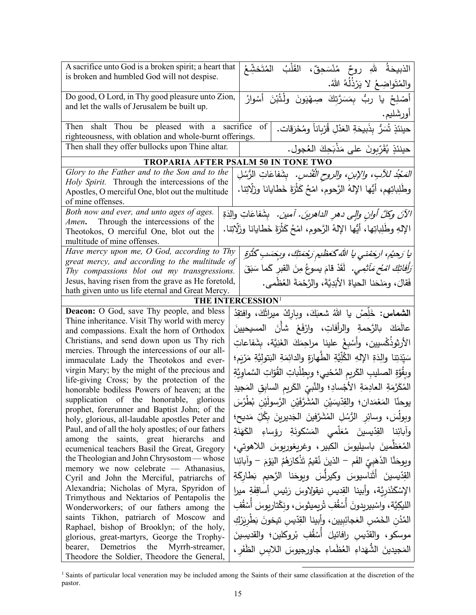| A sacrifice unto God is a broken spirit; a heart that                                        | الذبيحَةُ للهِ روحٌ مُنْسَحِقٌ، القَلْبُ المُتَخشِّعُ                                  |
|----------------------------------------------------------------------------------------------|----------------------------------------------------------------------------------------|
| is broken and humbled God will not despise.                                                  |                                                                                        |
|                                                                                              | والمُتَواضِعُ لا يَرْذُلُهُ اللهُ.                                                     |
| Do good, O Lord, in Thy good pleasure unto Zion,                                             | أَصْلِحْ يا ربُّ بِمَسَرَّتِكَ صِهْيَونَ ولْتُبْنَ أَسْوارُ                            |
| and let the walls of Jerusalem be built up.                                                  | أورشَليم.                                                                              |
| Then shalt Thou be pleased with a sacrifice                                                  | حينئذٍ شُبَرٌ بِذَبِيحَةِ العَذْلِ قُرْبِاناً ومُحْرَقات.<br>of                        |
| righteousness, with oblation and whole-burnt offerings.                                      |                                                                                        |
| Then shall they offer bullocks upon Thine altar.                                             | حينئذٍ يُقَرِّبونَ على مَذْبَحِكَ العُجول.                                             |
|                                                                                              | <b>TROPARIA AFTER PSALM 50 IN TONE TWO</b>                                             |
| Glory to the Father and to the Son and to the                                                | <i>المَعْذُ للأبِ، والإبنِ، والروحِ الْقُدْسِ.</i> بِشَفاعَاتِ الرُسُلِ                |
| Holy Spirit. Through the intercessions of the                                                |                                                                                        |
| Apostles, O merciful One, blot out the multitude                                             | وطَلِباتِهِم، أَيُّها الإِلهُ الرَّحومِ، امْحُ كَثْرَةَ خَطايانا وزلَّاتِنا.           |
| of mine offenses.                                                                            |                                                                                        |
| Both now and ever, and unto ages of ages.                                                    | <i>الآنَ وكلَّ أوانِ والٍى دهرِ الداهرينَ. آمين.</i> بِشَفاعَاتِ والِدَةِ              |
| Amen. Through the intercessions of the                                                       |                                                                                        |
| Theotokos, O merciful One, blot out the                                                      | الإلهِ وطَلِباتِها، أيُّها الإلهُ الرَّحومِ، امْحُ كَثْرَةَ خَطايانا وزَلَّاتِنا.      |
| multitude of mine offenses.                                                                  |                                                                                        |
| Have mercy upon me, O God, according to Thy                                                  | يا رَحيُم، اركِمْني يا اللهُ كَعَظْيم رَحْمَتِكَ، وبِحَسَبِ كَثْرَةِ                   |
| great mercy, and according to the multitude of                                               |                                                                                        |
| Thy compassions blot out my transgressions.                                                  | <i>َرَأَفاتِكَ امْحُ مَأْتِمِي.</i> لَقَدْ قامَ يسوعُ مِنَ القبرِ كَما سَبَقَ          |
| Jesus, having risen from the grave as He foretold,                                           | فَقالَ، ومَنَحَنا الحياةَ الأَبَدِيَّةَ، والرَّحْمَةَ العُظْمي.                        |
| hath given unto us life eternal and Great Mercy.                                             |                                                                                        |
|                                                                                              | THE INTERCESSION <sup>1</sup>                                                          |
| <b>Deacon:</b> O God, save Thy people, and bless                                             | ا <b>لشماس:</b> خَلِّصْ يا اللهُ شعبَكَ، وبارِكْ ميراثَكَ، وافتقِدْ                    |
| Thine inheritance. Visit Thy world with mercy                                                | عالَمَكَ بالرَّحمةِ والرأفاتِ، وارْفَعْ شأنَ المسيحيينَ                                |
| and compassions. Exalt the horn of Orthodox                                                  |                                                                                        |
| Christians, and send down upon us Thy rich<br>mercies. Through the intercessions of our all- | الأرثوذُكْسيين، وأسْبِغْ علينا مراحِمَكَ الغَنِيَّة، بِشَفاعاتِ                        |
| immaculate Lady the Theotokos and ever-                                                      | سَيّدَتِنا والِدَةِ الإِلهِ الكُلِّيّةِ الطّهارَةِ والدائِمَةِ البَتولِيَّةِ مَرْيَمٍ؛ |
| virgin Mary; by the might of the precious and                                                | وبِقُوَّةِ الصليبِ الكَريمِ المُحْييِ؛ وبطِلْباتِ القُوّاتِ السَّماويَّةِ              |
| life-giving Cross; by the protection of the                                                  |                                                                                        |
| honorable bodiless Powers of heaven; at the                                                  | المُكَرَّمَةِ العادِمَةِ الأجْسادِ؛ والنَّبيِّ الكَريمِ السابِقِ المَجيدِ              |
| supplication of the honorable, glorious<br>prophet, forerunner and Baptist John; of the      | يوحنّا المَعْمَدان؛ والقِدّيسَيْن المُشَرَّفَيْن الرَّسولَيْن بُطْرُسَ                 |
| holy, glorious, all-laudable apostles Peter and                                              | وبولُسَ، وسائِرِ الرُّسُلِ المُشَرَّفينَ الْجَديرينَ بِكُلِّ مَديح؛                    |
| Paul, and of all the holy apostles; of our fathers                                           | وآبائِنا القِدّيسينَ مُعَلّمى المَسْكونَةِ رؤساءِ الكَهَنَةِ                           |
| among the saints, great hierarchs<br>and                                                     | الْمُعَظَّمينَ بِاسِيلِيوسَ الكبيرِ، وغريغوريوسَ اللاهوتي،                             |
| ecumenical teachers Basil the Great, Gregory<br>the Theologian and John Chrysostom — whose   |                                                                                        |
| memory we now celebrate - Athanasius,                                                        | ويوحَنَّا الذَهَبِيِّ الفَم – الذينَ نُقيمُ تَذْكارَهُمُ الْيَوْمَ – وآبائِنا          |
| Cyril and John the Merciful, patriarchs of                                                   | القِدّيسينَ أَثَناسيوسَ وكيرلِّسَ وبوحَنا الرَّحيم بَطارِكَةِ                          |
| Alexandria; Nicholas of Myra, Spyridon of                                                    | الإِسْكَنْدَرِيَّة، وأبينا القِديس نيقولِاوسَ رَئِيس أَساقِفَةِ ميرا                   |
| Trimythous and Nektarios of Pentapolis the                                                   |                                                                                        |
| Wonderworkers; of our fathers among the                                                      | الليكِيَّة، واسْبيريدونَ أَسْقُفِ تْرِيميثوسَ، ونكْتاريوسَ أَسْقُفِ                    |
| saints Tikhon, patriarch of Moscow and<br>Raphael, bishop of Brooklyn; of the holy,          | المُدُنِ الخَمْسِ العَجائِبِيينِ، وأبينا القِدّيسِ تيخونَ بَطْرِيَرْكِ                 |
| glorious, great-martyrs, George the Trophy-                                                  | موسكو ، والقدّيس رافائيلَ أَسْقُفِ بْروكلين؛ والقديسِينَ                               |
| the<br>Demetrios<br>Myrrh-streamer,<br>bearer,                                               | المَجيدينَ الشَّهَداءِ العُظَماءِ جاورجيوسَ اللابِس الظَفَرِ،                          |
| Theodore the Soldier, Theodore the General,                                                  |                                                                                        |

<span id="page-14-0"></span><sup>1</sup> Saints of particular local veneration may be included among the Saints of their same classification at the discretion of the pastor.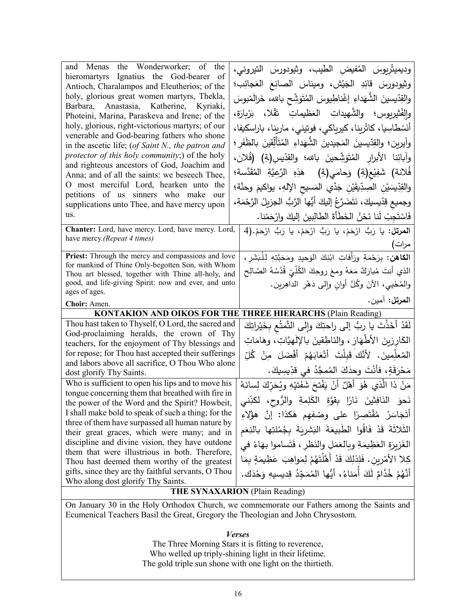| and Menas the Wonderworker; of the                                                                      | وديميتْرِيوسَ المُفيضِ الطيب، وثيودورسَ التيروني،                               |  |
|---------------------------------------------------------------------------------------------------------|---------------------------------------------------------------------------------|--|
| hieromartyrs Ignatius the God-bearer of<br>Antioch, Charalampos and Eleutherios; of the                 | وثيودورسَ قائِدِ الجَيْش، وميناسَ الصانِعِ العَجائِب؛                           |  |
| holy, glorious great women martyrs, Thekla,                                                             | والقِدّيسينَ الشُّهَداءِ إغْناطِيوسَ المُتَوَشِّح بالله، خَرالَمْبوسَ           |  |
| Barbara, Anastasia, Katherine, Kyriaki,                                                                 | والِفْثيريوس؛ والشَّهيداتِ العَظيماتِ تَقْلا، بَرْبِارَة،                       |  |
| Photeini, Marina, Paraskeva and Irene; of the<br>holy, glorious, right-victorious martyrs; of our       |                                                                                 |  |
| venerable and God-bearing fathers who shone                                                             | أَنَسْطَاسِيا، كَاتْرِينا، كيرياكي، فوتيني، مارينا، باراسكيفا،                  |  |
| in the ascetic life; (of Saint N., the patron and                                                       | وآيرين؛ والقِدّيسينَ المَجيدينَ الشُّهَداءِ المُتَأَلِّقِينَ بالظَفَرِ؛         |  |
| protector of this holy community;) of the holy<br>and righteous ancestors of God, Joachim and           | وآبائِنا الأبرارِ المُتَوَشِّحينَ بالله؛ والقِدّيسِ(بةِ) (فُلان،                |  |
| Anna; and of all the saints: we beseech Thee,                                                           | فُلانة) شَفِيْعِ(4) وَحامي(4)   هَذِهِ الرَّعِيَّةِ المُقَدَّسة؛                |  |
| O most merciful Lord, hearken unto the                                                                  | والقِدِّيسَيْنِ الصِدِّيقَيْنِ جَدَّي المَسيح الإِلَّهِ، يواكيمَ وحنَّة؛        |  |
| petitions of us sinners who make our                                                                    | وجميع قِدّيسيكَ، نَتَضَرَّعُ إليكَ أَيُّها الرَّبُّ الجزيلُ الرَّحْمَةِ،        |  |
| supplications unto Thee, and have mercy upon<br>us.                                                     | فَاسْتَجِبْ لَنا نَحْنُ الخَطَأَةَ الطالِبِينَ إِليكَ وارْحَمْنا.               |  |
| Chanter: Lord, have mercy. Lord, have mercy. Lord,                                                      |                                                                                 |  |
| have mercy.(Repeat 4 times)                                                                             | ا <b>لمرتل:</b> يا رَبُّ ارْحَمْ، يا رَبُّ ارْحَمْ، يا رَبُّ ارْحَمْ.(4         |  |
|                                                                                                         | مرات)                                                                           |  |
| Priest: Through the mercy and compassions and love<br>for mankind of Thine Only-begotten Son, with Whom | ا <b>لكاهن:</b> بِرَحْمَةِ ورَأَفاتِ ابْنِكَ الوَحيدِ ومَحَبَّتِهِ لِلْبَشَرِ ، |  |
| Thou art blessed, together with Thine all-holy, and                                                     | الذي أنتَ مُبارَكٌ مَعَهُ ومعَ روحِكَ الكُلِّيِّ قُدْسُهُ الصَّالِح             |  |
| good, and life-giving Spirit: now and ever, and unto<br>ages of ages.                                   | والمُحْيي، الآنَ وكُلَّ أوانِ وإلى دَهْرِ الداهِرين.                            |  |
| Choir: Amen.                                                                                            | المرتل: آمين.                                                                   |  |
| KONTAKION AND OIKOS FOR THE                                                                             | <b>THREE HIERARCHS (Plain Reading)</b>                                          |  |
| Thou hast taken to Thyself, O Lord, the sacred and                                                      | لَقَدْ أَخَذْتَ يا ربُّ إلى راحتِكَ وإلى التَّمتُع بِخَيْراتِكَ                 |  |
| God-proclaiming heralds, the crown of Thy<br>teachers, for the enjoyment of Thy blessings and           | الْكَارِزِينَ الأَطْهَارَ ، والنَاطِقينَ بـالإِلَهيَّاتِ، وهَامَاتِ             |  |
| for repose; for Thou hast accepted their sufferings                                                     | المُعلِّمينَ. لأنَّك َقَبِلْتَ أَتْعَابَهُمْ أَفْضَلَ مِنْ كُلِّ                |  |
| and labors above all sacrifice, O Thou Who alone                                                        |                                                                                 |  |
| dost glorify Thy Saints.                                                                                | مَحْرَقَةٍ، فأَنْتَ وحدَكَ المُمجَّدُ في قدِّيسِيكَ.                            |  |
| Who is sufficient to open his lips and to move his<br>tongue concerning them that breathed with fire in | مَنْ ذا الَّذي هُوَ أَهْلٌ أَنْ يَفْتحَ شَفَتيْهِ وِيُحَرِّكَ لِساذَهُ          |  |
| the power of the Word and the Spirit? Howbeit,                                                          | نَحوَ   النَافِثينَ   نَارًا   بِقوَّةِ   الكَلِمةِ   والرُّوحِ،   لكنِّني      |  |
| I shall make bold to speak of such a thing; for the                                                     | أَتَجَاسَرُ مُقْتَصِرًا على وصْفِهِم هَكَذَا: إِنَّ هؤُلِاءِ                    |  |
| three of them have surpassed all human nature by<br>their great graces, which were many; and in         | الثَلاثَةَ قَدْ فَاقُوا الطَبِيعَةَ البَشريَةَ بِجُمْلتِها بالنِعَمِ            |  |
| discipline and divine vision, they have outdone                                                         | الغَزِيرَةِ العَظِيمَةِ وبِالعَمَلِ والنَظرِ ، فَتَساموا بهَاءً في              |  |
| them that were illustrious in both. Therefore,                                                          |                                                                                 |  |
| Thou hast deemed them worthy of the greatest                                                            | كِلا الأَمْرِينِ. فَلِذَلِكَ قَدْ أَهَّلْتَهُمْ لِمَواهِبَ عَظِيمَةِ بِمَا      |  |
| gifts, since they are thy faithful servants, O Thou<br>Who along dost glorify Thy Saints.               | أَنَّهُمْ خُدَّامٌ لَكَ أَمَناءُ ، أَيُّها المُمَجّدُ قِديسيهِ وَحْدَكَ.        |  |
|                                                                                                         | <b>THE SYNAXARION</b> (Plain Reading)                                           |  |
| On January 30 in the Holy Orthodox Church, we commemorate our Eathers among the Saints and              |                                                                                 |  |

On January 30 in the Holy Orthodox Church, we commemorate our Fathers among the Saints and Ecumenical Teachers Basil the Great, Gregory the Theologian and John Chrysostom.

*Verses*

The Three Morning Stars it is fitting to reverence, Who welled up triply-shining light in their lifetime. The gold triple sun shone with one light on the thirtieth.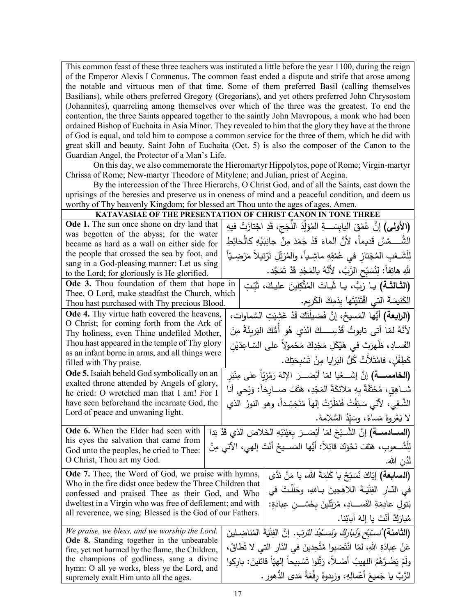This common feast of these three teachers was instituted a little before the year 1100, during the reign of the Emperor Alexis I Comnenus. The common feast ended a dispute and strife that arose among the notable and virtuous men of that time. Some of them preferred Basil (calling themselves Basilians), while others preferred Gregory (Gregorians), and yet others preferred John Chrysostom (Johannites), quarreling among themselves over which of the three was the greatest. To end the contention, the three Saints appeared together to the saintly John Mavropous, a monk who had been ordained Bishop of Euchaita in Asia Minor. They revealed to him that the glory they have at the throne of God is equal, and told him to compose a common service for the three of them, which he did with great skill and beauty. Saint John of Euchaita (Oct. 5) is also the composer of the Canon to the Guardian Angel, the Protector of a Man's Life.

On this day, we also commemorate the Hieromartyr Hippolytos, pope of Rome; Virgin-martyr Chrissa of Rome; New-martyr Theodore of Mitylene; and Julian, priest of Aegina.

By the intercession of the Three Hierarchs, O Christ God, and of all the Saints, cast down the uprisings of the heresies and preserve us in oneness of mind and a peaceful condition, and deem us worthy of Thy heavenly Kingdom; for blessed art Thou unto the ages of ages. Amen.

| $\ldots$                                                                                                      | KATAVASIAE OF THE PRESENTATION OF CHRIST CANON IN TONE THREE                              |
|---------------------------------------------------------------------------------------------------------------|-------------------------------------------------------------------------------------------|
| <b>Ode 1.</b> The sun once shone on dry land that                                                             | (الأُولَى) إِنَّ عُمْقَ اليابِسَـــةِ المُوَلِّدَ اللَّجَجِ، قَدِ اجْتازَتْ فيهِ          |
| was begotten of the abyss; for the water                                                                      |                                                                                           |
| became as hard as a wall on either side for                                                                   | الشَّــــمْسُ قَديماً، لأنَّ الماءَ قَدْ جَمَدَ مِنْ جانِبَيْهِ كالْحائِطِ                |
| the people that crossed the sea by foot, and                                                                  | لِلْشَـعْبِ المُجْتاز في عُمْقِهِ ماشِـياً، والمُرَبِّلِ تَرْتِيلاً مَرْضِـيّاً           |
| sang in a God-pleasing manner: Let us sing                                                                    |                                                                                           |
| to the Lord; for gloriously is He glorified.                                                                  | للهِ هاتِفاً: لِنُسَبِّحِ الرَّبَّ، لأَنَّهُ بالمَجْدِ قَدْ تَمَجَّد.                     |
| Ode 3. Thou foundation of them that hope in                                                                   | <b>(الثـالثــة)</b> يـا رَبُّ، يـا ثَبـاتَ المُتَّكِلينَ عليـكَ، ثَبِّـتِ                 |
| Thee, O Lord, make steadfast the Church, which                                                                |                                                                                           |
| Thou hast purchased with Thy precious Blood.                                                                  | الكَنيسَةَ التي اقْتَنَيْتَها بِدَمِكَ الكَريمِ.                                          |
| Ode 4. Thy virtue hath covered the heavens,                                                                   | (ا <b>لرابعة)</b> أيُّها المَسيحُ، إنَّ فَضيلَتَكَ قَدْ غَشِيَتِ السَّماوات،              |
| O Christ; for coming forth from the Ark of                                                                    | لأنَّهُ لمّا أتى تابوتُ قُدْسِـــكَ الذي هُو أمُّكَ البَريئَةُ مِنَ                       |
| Thy holiness, even Thine undefiled Mother,                                                                    |                                                                                           |
| Thou hast appeared in the temple of Thy glory                                                                 | الفَسـادِ، ظَهرَتَ فـى هَيْكَلِ مَجْدِكَ مَحْمولاً علـى السّـاعِدَيْن                     |
| as an infant borne in arms, and all things were                                                               | كَطِفْلِ، فامْتَلأَتْ كُلُّ البَرايا مِنْ تَسْبِحَتِكَ.                                   |
| filled with Thy praise.<br>Ode 5. Isaiah beheld God symbolically on an                                        |                                                                                           |
| exalted throne attended by Angels of glory,                                                                   | <b>(الخامســة)</b> إنَّ إشَـــغيا لممّا أَبْصَـــرَ الإِلهَ رَمْزِيَّاً علـى مِنْبَر      |
| he cried: O wretched man that I am! For I                                                                     | شــاهِق، مُحْتَقَّةً بِهِ مَلائكَةُ المَجْدِ، هَتَفَ صـــارِخاً: وَيْحي أنا               |
| have seen beforehand the incarnate God, the                                                                   | الشَّـقِي، لأنِّي سَـبَقْتُ فَنَظَرْتُ إلـهاً مُتَجَسِّداً، وهو النورُ الذي               |
| Lord of peace and unwaning light.                                                                             |                                                                                           |
|                                                                                                               | لا يَعْرُوهُ مَساءٌ، وسَيِّدُ السَّلامة.                                                  |
| Ode 6. When the Elder had seen with                                                                           | (الســادســة) إنَّ الشَّــيْخَ لمّا أَبْصَــرَ بِعَيْنَيْهِ الخَلاصَ الذي قَدْ بَدا       |
| his eyes the salvation that came from                                                                         | لِلْشُـــعوبِ، هَتَفَ نَحْوَكَ قائِلاً: أَيُّها المَســيحُ أَنْتَ إلهي، الآتي مِنْ        |
| God unto the peoples, he cried to Thee:<br>O Christ, Thou art my God.                                         |                                                                                           |
|                                                                                                               | لَدُن الله.                                                                               |
| Ode 7. Thee, the Word of God, we praise with hymns,                                                           | (ا <b>لـْسابعة)</b> إِيّاكَ نُسَبّحُ يا كَلِمَةَ الله، يا مَنْ نَدَّى                     |
| Who in the fire didst once bedew the Three Children that                                                      | في النّـارِ الفِتْيَـةَ اللاهِجينَ بـاللهِ، وحَلَلْتَ في                                  |
| confessed and praised Thee as their God, and Who<br>dweltest in a Virgin who was free of defilement; and with |                                                                                           |
| all reverence, we sing: Blessed is the God of our Fathers.                                                    | بَتولِ عادِمَةِ الفَســــادِ، مُرَتِّلينَ بِحُسْـــنِ عِبادَةٍ:                           |
|                                                                                                               | مُبارَكٌ أَنْتَ يا إِلهَ آبائِنا.                                                         |
| We praise, we bless, and we worship the Lord.                                                                 | (ا <b>لثامنة)</b> <i>نَستبُح ونُناركُ ونَسـُجُد للرّبّ.</i> إنَّ الفِثْيَةَ المُناضِـلينَ |
| Ode 8. Standing together in the unbearable<br>fire, yet not harmed by the flame, the Children,                | عَنْ عِبادَةِ اللهِ، لمّا انْتَصَبوا مُتَّحِدينَ في النّارِ التي لا تُطاقُ،               |
| the champions of godliness, sang a divine                                                                     | ولَمْ يَضُرَّهُمُ اللهيبُ أَصْـلاً، رَتَّلوا تَسْبِيحاً إلهيّاً قائلينَ: باركوا           |
| hymn: O all ye works, bless ye the Lord, and                                                                  |                                                                                           |
| supremely exalt Him unto all the ages.                                                                        | الرَّبَّ يا جَميعَ أَعْمالِهِ، وزيدوهُ رِفْعَةً مَدى الدُّهورِ .                          |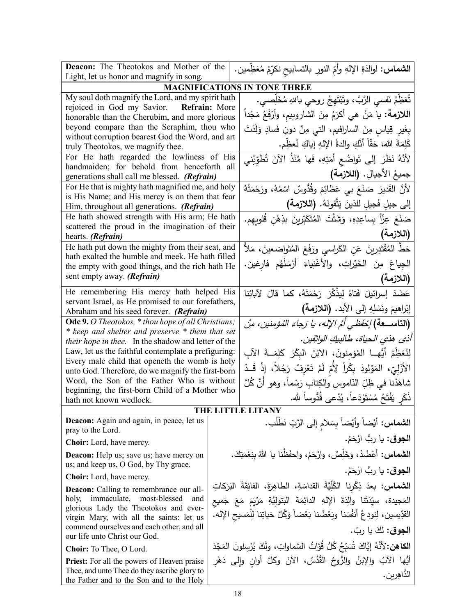| Deacon: The Theotokos and Mother of the                                                               |                                                                                  | ا <b>لشماس:</b> لوالدَةِ الإلهِ وأمِّ النورِ بالتسابيح نكرِّمُ مُعَظِّمين.                        |
|-------------------------------------------------------------------------------------------------------|----------------------------------------------------------------------------------|---------------------------------------------------------------------------------------------------|
| Light, let us honor and magnify in song.                                                              |                                                                                  |                                                                                                   |
| My soul doth magnify the Lord, and my spirit hath                                                     |                                                                                  | <b>MAGNIFICATIONS IN TONE THREE</b>                                                               |
| rejoiced in God my Savior.<br>Refrain: More                                                           |                                                                                  | تُعَظِّمُ نَفسي الرَّبَّ، وتَبْتَهِجُ روحي باللهِ مُخَلِّصـي.                                     |
| honorable than the Cherubim, and more glorious                                                        |                                                                                  | اللازمة: يا مَنْ هي أكرَمُ مِنَ الشاروبيم، وأَرْفَعُ مَجْداً                                      |
| beyond compare than the Seraphim, thou who                                                            |                                                                                  | بِغَيرِ قِياسٍ مِنَ الساراِفيمِ، التي مِنْ دونِ فَسادٍ وَلَدَتْ                                   |
| without corruption bearest God the Word, and art<br>truly Theotokos, we magnify thee.                 |                                                                                  | كَلِمَةَ الله، حَقّاً أنَّكِ والدةُ الإلهِ إياكِ نُعظِّم.                                         |
| For He hath regarded the lowliness of His                                                             |                                                                                  | لأَنَّهُ نَظَرَ إلى تَواضُعٍ أَمَتِهِ، فَها مُنْذُ الآنَ تُطَوِّبُني                              |
| handmaiden; for behold from henceforth all                                                            |                                                                                  |                                                                                                   |
| generations shall call me blessed. (Refrain)                                                          |                                                                                  | جميعُ الأجيالِ. (اللازمة)                                                                         |
| For He that is mighty hath magnified me, and holy<br>is His Name; and His mercy is on them that fear  |                                                                                  | لأنَّ القَديرَ  صَنَعَ بي عَظائِمَ وقُدُّوسٌ  اسْمُهُ، ورَحْمَتُهُ                                |
| Him, throughout all generations. (Refrain)                                                            |                                                                                  | إلى جيلٍ فَجيلٍ للذينَ يَتَّقونَهُ. (اللازمة)                                                     |
| He hath showed strength with His arm; He hath<br>scattered the proud in the imagination of their      |                                                                                  | صَنَعَ عِزّاً بِساعِدِهِ، وَشَتَّتَ المُتَكَبِّرِينَ بذِهْنِ قُلوبِهِم.                           |
| hearts. (Refrain)                                                                                     |                                                                                  | (اللازمة)                                                                                         |
| He hath put down the mighty from their seat, and                                                      |                                                                                  | حَطَّ المُقْتَدِرِينَ  عَنِ  الكَراسي  ورَفَعَ  المُتَواضعينَ،  مَلأً                             |
| hath exalted the humble and meek. He hath filled<br>the empty with good things, and the rich hath He  |                                                                                  | الجِياعَ مِنَ الخَيْراتِ، والأَغْنِياءَ أَرْسَلَهُم فارِغينَ.                                     |
| sent empty away. (Refrain)                                                                            |                                                                                  | (اللازمة)                                                                                         |
| He remembering His mercy hath helped His                                                              |                                                                                  | عَضَدَ إسرائيلَ فَتاهُ لِيذْكُرَ رَحْمَتَهُ، كما قالَ لآبائِنا                                    |
| servant Israel, as He promised to our forefathers,<br>Abraham and his seed forever. (Refrain)         |                                                                                  | إبْراهيمَ ونَسْلِهِ إلى الأبد. (اللازمة)                                                          |
| Ode 9. O Theotokos, * thou hope of all Christians;                                                    |                                                                                  | (التاســـعة) إِحْفَظــ أمَّ الإله، يا رَجاءَ المُؤمنين، مِنْ                                      |
| * keep and shelter and preserve * them that set                                                       |                                                                                  | أُذى هذي الحياة، طالبِيكِ الواثقِينِ.                                                             |
| their hope in thee. In the shadow and letter of the                                                   |                                                                                  |                                                                                                   |
| Law, let us the faithful contemplate a prefiguring:<br>Every male child that openeth the womb is holy |                                                                                  | لِنُعَظِّمْ أَيُّهــا المُؤمِنونَ، الآبْنَ البِكْرَ كَلِمَــةَ الآبِ                              |
| unto God. Therefore, do we magnify the first-born                                                     |                                                                                  | الأَزَلِيِّ، المَوْلودَ بِكُراً لِأُمّ لَمْ تَعْرِفْ رَجُلاً، إذْ قَــدْ                          |
| Word, the Son of the Father Who is without<br>beginning, the first-born Child of a Mother who         |                                                                                  | شاهَدْنا في ظِلِّ النّاموس والكِتابِ رَسْماً، وهو أنَّ كُلَّ                                      |
| hath not known wedlock.                                                                               |                                                                                  | ذَكَرٍ يَفْتَحُ مُسْتَوْدَعاً، يُدْعى قُدُّوساً لله.                                              |
|                                                                                                       |                                                                                  | THE LITTLE LITANY                                                                                 |
| Deacon: Again and again, in peace, let us<br>pray to the Lord.                                        |                                                                                  | ا <b>لشماس:</b> أَيْضاً وأَيْضاً بِسَلام إلى الرَّبِّ نَطْلُب.                                    |
| <b>Choir:</b> Lord, have mercy.                                                                       |                                                                                  | ا <b>لجوق</b> : يا ربُّ ارْحَمْ.                                                                  |
| <b>Deacon:</b> Help us; save us; have mercy on                                                        |                                                                                  | ا <b>لشماس:</b> أعْضُدْ، وَخَلِّصْ، وارْحَمْ، واحفَظْنا يا اللهُ بِنِعْمَتِكَ.                    |
| us; and keep us, O God, by Thy grace.                                                                 |                                                                                  | ا <b>لجوق</b> : يا ربُّ ارْحَمْ.                                                                  |
| <b>Choir:</b> Lord, have mercy.                                                                       |                                                                                  | ا <b>لشماس:</b> بعدَ ذِكْرِنا الكُلِّيَّةَ القداسَةِ، الطاهِرَةَ، الفائِقَةَ البَرَكاتِ           |
| <b>Deacon:</b> Calling to remembrance our all-<br>immaculate, most-blessed<br>holy,<br>and            |                                                                                  |                                                                                                   |
| glorious Lady the Theotokos and ever-                                                                 | المَجيدة، سيّدَتَنا والِدَةَ الإِلهِ الدائِمَةَ البَتوليَّةِ مَرْبَعَ مَعَ جَميع |                                                                                                   |
| virgin Mary, with all the saints: let us                                                              |                                                                                  | القدِّيسين، لِنودِعْ أَنفُسَنا وبَعْضُنا بَعْضاً وَكُلَّ حَياتِنا لِلْمَسيحِ الإله.               |
| commend ourselves and each other, and all<br>our life unto Christ our God.                            |                                                                                  | ا <b>لجوق:</b> لكَ يا ربّ.                                                                        |
| Choir: To Thee, O Lord.                                                                               |                                                                                  | ا <b>لكاهن:</b> 'لأنَّهُ إِيَّاكَ شُبَبِّحُ كُلُّ قُوَّاتُ السَّماواتِ، ولَكَ يُرْسِلونَ المَجْدَ |
| <b>Priest:</b> For all the powers of Heaven praise                                                    |                                                                                  | أَيُّها الآبُ والإِبنُ والرُّوحُ القُدُسُ، الآنَ وكلَّ أوانِ وإلى دَهْرِ                          |
| Thee, and unto Thee do they ascribe glory to                                                          |                                                                                  | الدّاهِرين.                                                                                       |
| the Father and to the Son and to the Holy                                                             |                                                                                  |                                                                                                   |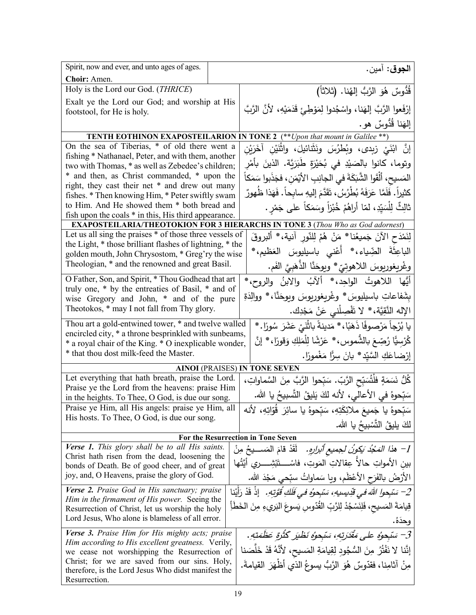| Spirit, now and ever, and unto ages of ages.                                                                   | ا <b>لجوق</b> : آمين.                                                                    |
|----------------------------------------------------------------------------------------------------------------|------------------------------------------------------------------------------------------|
| Choir: Amen.                                                                                                   |                                                                                          |
| Holy is the Lord our God. (THRICE)                                                                             | قُدُّوسٌ هُوَ الرَّبُّ إِلهُنا. (ثلاثاً)                                                 |
| Exalt ye the Lord our God; and worship at His<br>footstool, for He is holy.                                    | إِرْفَعوا الرَّبَّ إِلهَنا، واسْجُدوا لِمَوْطِئٍ قَدَمَيْهِ، لأَنَّ الرَّبَّ             |
|                                                                                                                | إلهَنا قُدُوسٌ هو .                                                                      |
|                                                                                                                | TENTH EOTHINON EXAPOSTEILARION IN TONE 2 (**Vpon that mount in Galilee **)               |
| On the sea of Tiberias, * of old there went a                                                                  | إِنَّ ابْنَيْ زِبِدِي، وبُطْرُسَ ونَشَائيلَ، واثْنَيْنِ آخَرَيْنِ                        |
| fishing * Nathanael, Peter, and with them, another                                                             |                                                                                          |
| two with Thomas, * as well as Zebedee's children;                                                              | وتوما، كانوا بالصَيْدِ في بُحَيْرَةِ طَبَرَيَّة. الذينَ بأمْر                            |
| * and then, as Christ commanded, * upon the<br>right, they cast their net * and drew out many                  | المَسيح، أَلْقَوا الشَّبَكَةَ في الجانِبِ الأَيْمَنِ، فجَذَبوا سَمَكاً                   |
| fishes. * Then knowing Him, * Peter swiftly swam                                                               | كثيراً. فَلَمَّا عَرَفَهُ بُطْرُسُ، تَقَدَّمَ إليهِ سابِحاً. فَهَذا ظَهورٌ               |
| to Him. And He showed them * both bread and                                                                    | ثالِثٌ لِلْسَيِّدِ، لمّا أراهُمْ خُبْزاً وسَمَكاً على جَمْرٍ .                           |
| fish upon the coals * in this, His third appearance.                                                           |                                                                                          |
|                                                                                                                | <b>EXAPOSTEILARIA/THEOTOKION FOR 3 HIERARCHS IN TONE 3 (Thou Who as God adornest)</b>    |
| Let us all sing the praises * of those three vessels of                                                        | لِنَمْدَحِ الْأَنَ جَميعُناً * مَنْ هُمْ لِلنَّورِ أَنية، * أَلْبِرُوقَ                  |
| the Light, * those brilliant flashes of lightning, * the<br>golden mouth, John Chrysostom, * Greg'ry the wise  | الداعِثَةَ الضِّياء،* أعْني باسيليوسَ العَظيم،*                                          |
| Theologian, * and the renowned and great Basil.                                                                | وغْريغوريوسَ اللاهوتِيِّ * ويوحَنَّا الذَّهَبِيَّ الفَم.                                 |
| O Father, Son, and Spirit, * Thou Godhead that art                                                             | أيُّها اللاهوتُ الواحِد،* ألآبُ والابنُ والروح،*                                         |
| truly one, * by the entreaties of Basil, * and of<br>wise Gregory and John, * and of the pure                  | بشَفاعاتِ باسيليوسَ* وغْريغوريوسَ ويوحَنَّا،* ووالِدَةِ                                  |
| Theotokos, * may I not fall from Thy glory.                                                                    |                                                                                          |
|                                                                                                                | الإِله النَّقِيَّة، * لا تَفْصِلْني عَنْ مَجْدِك.                                        |
| Thou art a gold-entwined tower, * and twelve walled                                                            | يا بُرْجاً مَرْصوفًا ذَهَبًا، * مَدينةً باتّْنَىٰ عَشَرَ سُورًا. *                       |
| encircled city, * a throne besprinkled with sunbeams,<br>* a royal chair of the King. * O inexplicable wonder, | كُرْسيًّا رُصِّعَ بِالشُّموسِ، * عَرْشًا لِلْمَلِكِ وَقورًا، * إِنَّ                     |
| * that thou dost milk-feed the Master.                                                                         | إِرْضاعَكِ السَّيِّدِ * بانَ سِرًّا مَغْمورًا.                                           |
|                                                                                                                | <b>AINOI</b> (PRAISES) IN TONE SEVEN                                                     |
| Let everything that hath breath, praise the Lord.                                                              | كُلُّ نَسَمَةٍ فَلْتُسَبِّحِ الرَّبِّ. سَبِّحوا الرَّبَّ مِنَ السَّماواتِ،               |
| Praise ye the Lord from the heavens: praise Him<br>in the heights. To Thee, O God, is due our song.            | سَبِّحوهُ في الأعالي، لأنه لكَ يَليقُ النَّسبيحُ يا الله.                                |
| Praise ye Him, all His angels: praise ye Him, all                                                              |                                                                                          |
| His hosts. To Thee, O God, is due our song.                                                                    | سَبِّحوهُ يا جَميعَ ملائِكَتِهِ، سَبِّحوهُ يا سائِرَ  قُوّاتِهِ، لأنه                    |
|                                                                                                                | لكَ يليقُ التَّسْبِيحُ يا الله.                                                          |
|                                                                                                                | For the Resurrection in Tone Seven                                                       |
| Verse 1. This glory shall be to all His saints.<br>Christ hath risen from the dead, loosening the              | 1− هذ <i>ا المَحْدُ يَكونُ لِجِميعِ أُبرارِهِ.</i> لَقَدْ قامَ المَســـيحُ مِنْ          |
| bonds of Death. Be of good cheer, and of great                                                                 | بين الأمواتِ حالاً عِقالاتِ المَوتِ، فاسْـــتَبْشِـــــرِي أَيَّتُها                     |
| joy, and, O Heavens, praise the glory of God.                                                                  | الأَرْضُ بالفَرَحِ الأَعْظَمِ، ويا سَماواتُ سبِّحي مَجْدَ الله.                          |
| Verse 2. Praise God in His sanctuary; praise                                                                   | 2– سَبْحولِ اللَّهَ فـي قَدِيسِيهِ، سَبْحوُهِ فـي فَلَكِ قُوَّتِهِ. ﴿ إِذْ قَدْ رَأَيْنا |
| Him in the firmament of His power. Seeing the<br>Resurrection of Christ, let us worship the holy               | قِيامَةَ المَسيحِ، فَلِنَسْجُدْ لِلرَّبِّ القُدّوسِ يَسوعَ البَرِيءِ مِنَ الخَطَأِ       |
| Lord Jesus, Who alone is blameless of all error.                                                               | وحدَهُ.                                                                                  |
| Verse 3. Praise Him for His mighty acts; praise                                                                | 3– سَبْحوُه على مُقْدَرتهِ، سَبْحوُه نَظْيَر كُثُرة عَظَمَتِهِ.                          |
| Him according to His excellent greatness. Verily,                                                              |                                                                                          |
| we cease not worshipping the Resurrection of<br>Christ; for we are saved from our sins. Holy,                  | إِنَّنا لا نَفْتُرُ مِنَ السُّجُودِ لِقِيامَةِ المَسيحِ، لأنَّهُ قَدْ خَلَّصَنا          |
| therefore, is the Lord Jesus Who didst manifest the                                                            | مِنْ آثامِنا، فقدّوسٌ هُوَ الرَّبُّ يسوعُ الذي أظْهَرَ القيامةَ.                         |
| Resurrection.                                                                                                  |                                                                                          |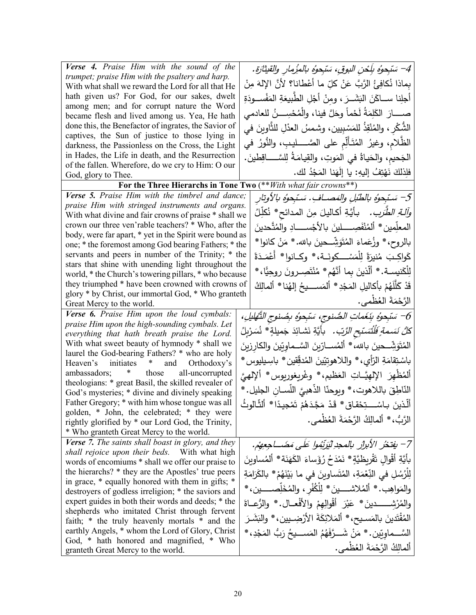*Verse 4. Praise Him with the sound of the trumpet; praise Him with the psaltery and harp.* With what shall we reward the Lord for all that He hath given us? For God, for our sakes, dwelt among men; and for corrupt nature the Word became flesh and lived among us. Yea, He hath done this, the Benefactor of ingrates, the Savior of captives, the Sun of justice to those lying in darkness, the Passionless on the Cross, the Light in Hades, the Life in death, and the Resurrection of the fallen. Wherefore, do we cry to Him: O our God, glory to Thee.

4– سَبْحِوُه بِلَحْنِ البوقِ، سَبْحِوُه بالمِزْمارِ والقيثارَة. بِماذا نُكافِئُ الرَّبَّ عَنْ كلِّ ما أَعْطانا؟ لأنَّ الإِلهَ مِنْ<br>ُ .<br>-أجلِنا ســـاكَنَ النَشَـــرَ ، ومِنْ أَجْلِ الطَّبيعَةِ المَفْســودَةِ ٔ<br>ّ ֺ**ֺ** َ َّل ْ فینا، وال ً وح ْما َح ُ ل َة ِم َل ُ صـــــــــــار ْحِســـــــــــ ُن للعادمي َ الك م الشُّكْرِ ، والمُنْقِذُ للمَسْبِيين ، وشمسُ العِدْلِ للثَّاوِينَ في ْ الظُّلامِ، وغيرُ المُتَأَلِّمِ على الصَّـــــليبِ، والنُّورُ في الجَحيمِ، والحَياةُ في المَوتِ، والقِيامَةُ لِلسَّــــاقِطينَ.<br>-فلِذلكَ ذَهْتِفُ إِليهِ: يا إِلَهَنا المَجْدُ لك.<br>ناسخة المسابق ْ

**For the Three Hierarchs in Tone Two** (\*\**With what fair crowns*\*\*) *Verse 5. Praise Him with the timbrel and dance; praise Him with stringed instruments and organs.*  With what divine and fair crowns of praise \* shall we crown our three ven'rable teachers? \* Who, after the body, were far apart, \* yet in the Spirit were bound as one; \* the foremost among God bearing Fathers; \* the servants and peers in number of the Trinity; \* the stars that shine with unending light throughout the world, \* the Church's towering pillars, \* who because they triumphed \* have been crowned with crowns of glory \* by Christ, our immortal God, \* Who granteth Great Mercy to the world.

*Verse 6. Praise Him upon the loud cymbals: praise Him upon the high-sounding cymbals. Let everything that hath breath praise the Lord.*  With what sweet beauty of hymnody \* shall we laurel the God-bearing Fathers? \* who are holy Heaven's initiates \* and Orthodoxy's ambassadors; \* those all-uncorrupted theologians: \* great Basil, the skilled revealer of God's mysteries; \* divine and divinely speaking Father Gregory; \* with him whose tongue was all golden, \* John, the celebrated; \* they were rightly glorified by \* our Lord God, the Trinity, \* Who granteth Great Mercy to the world.

*Verse 7. The saints shall boast in glory, and they shall rejoice upon their beds.* With what high words of encomiums \* shall we offer our praise to the hierarchs? \* they are the Apostles' true peers in grace, \* equally honored with them in gifts; \* destroyers of godless irreligion; \* the saviors and expert guides in both their words and deeds; \* the shepherds who imitated Christ through fervent faith; \* the truly heavenly mortals \* and the earthly Angels, \* whom the Lord of Glory, Christ God, \* hath honored and magnified, \* Who granteth Great Mercy to the world.

5– سَتَجِوهُ بالطُبْلِ والمَصــافِ. سَتَجِوهُ بالأوتارِ *وَلَكَ الطَّرَب.* بأيَّةِ أكاليلَ مِنَ المدائحِ\* نُكلِّلُ المعلِّمين\* ألمُنْفَصِــــــلينَ بالأجْســـــادِ والْمُتَّحدينَ بالروح،\* وزُعَماءَ المُتَوَشِّــحينَ بالله.\* مَنْ كانوا\*<br>. كَواكِـبَ مُنيرَةً لِلْمَسْـــكونَــة،\* وكــانوا\* أَعْمَـدَةً<br>. ؙؚ لِلْكَنيسـة.\* أَلَّذينَ بِما أَنَّهُم \* مُنْتَصِـرونَ روحِيًّا،\*<br>يَدِينَتَ قَدْ كَلَّلَهُمْ بِأَكالِيلِ المَجْدِ\* أَلمَســــيحُ إلهُنا\* أَلمالِكُ ُ ْظمى. َ َة الع ْم َّ الرح

َ سَبِّحوهُ بِنَغَماتِ الصُّنوجِ، سَبِّحوهُ بِصُنوجِ التَّهْليلِ، ك*َّلُّ نَسَمةٍ فَلُتَسَبِّحِ الرَّبِّ.* ۚ بِأَيَّةِ نَشَائِذَ جَميلةٍ \* نُسَرْبِلُ .<br>ا َ َ ِ والكارز�ن ّین َ َّ الســــــ ِماو� ّ�ن ُســــــار َ �ا�،\* ألم ِ حین َشــــــ ّ َو ت ُ الم باسْتِقامَةِ الرَّأي،\* واللاهوتِيّينَ المُدقِّقين\* باسِـيليوس\*<br>. أَلمُظْهِرَ الإلهِيَّـاتِ العَظيمِ،\* وغْريغوريوس\* ألإلهيَّ النّاطِقَ باللاهوت،\* ويوحنّا الذّهبيَّ اللّســانِ الـجليل.\*<br>ِ أَلّـذينَ بـاسْــــتِحْقـاق\* قَدْ مَجَّدَهُمْ تَمْجيدًا\* أَلثّـالوثُ<br>. الرَّبُّ، \* أَلمالِكُ الرَّحْمَةَ العُظْمى.<br>ّ

7 – يفتخر الأبرار بالمجدِ لَيَرَنِّمُوا عَلَى مَضَـــاجِعِهْم. بَأَيَّةِ أَقُوالٍ تَقْرِيظَيَّةٍ\* نَمْدَحُ رُؤَساءَ الكَهَنَة\* أَلمُساوينَ<br>نُفسه لِلْرُسُلِ في النِّعْمَةِ، المُتَساوينَ في ما بَيْنَهُمْ\* بِالكَرَامَةِ<br>. نساوين تي ما بينهم باندرام<br>... **ٔ** والمَواهِب. \* ألمُلاشـــــينَ \* لِلْكُفْرِ ، والمُخَلِّصـــــين، \*<br>\* والمُرْشِــــــدينَ\* عَبْرَ أَقْوالِهِمْ والأَفْعــال.\* والرُّعــاةَ<br>وي .<br>ا المُقْتَدينَ بالمَسـيح، \* ألمَلائِكَةَ الأَرْضِـيين، \* والنَشَـرَ السَّـــماوِيّين. \* مَنْ شَـــرَّفَهُمُ المَســـيحُ رَبُّ المَجْدِ، \*<br>، ألمالِكُ الرَّحْمَةَ العُظْمى.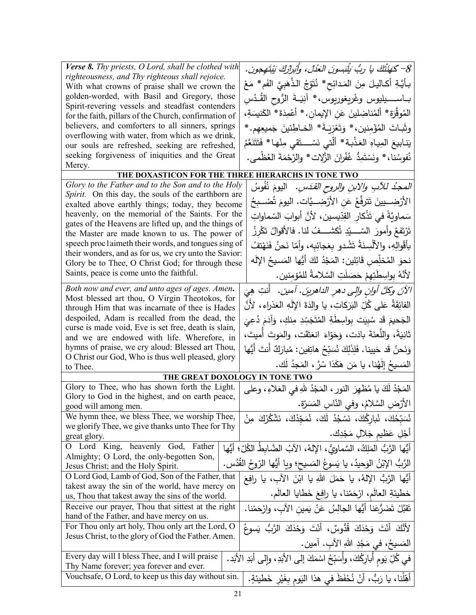| Verse 8. Thy priests, O Lord, shall be clothed with                                                        | 8– كَهَنْتُكَ يا رِبُّ يَلْبَسونَ الْعَدْلُ، وأُبْرِارُكَ يَيْتَهجون.              |
|------------------------------------------------------------------------------------------------------------|------------------------------------------------------------------------------------|
| righteousness, and Thy righteous shall rejoice.                                                            |                                                                                    |
| With what crowns of praise shall we crown the                                                              | بِأَيَّةِ أَكَالِيلَ مِنَ الْمَدائِحِ* نُتَوِّجُ الذَّهَبِيَّ الْفَمِ* مَعْ        |
| golden-worded, with Basil and Gregory, those                                                               | بــاســــــيليوس وغْريغوريوس،* آنِيَــةَ الرُّوحِ الْقُـدُسِ                       |
| Spirit-revering vessels and steadfast contenders                                                           | المُوقِّرَة * أَلمُناضِلينَ عَنِ الإِيمانِ. * أَعْمِدَةَ * الكَنيسَةِ،             |
| for the faith, pillars of the Church, confirmation of<br>believers, and comforters to all sinners, springs |                                                                                    |
| overflowing with water, from which as we drink,                                                            | وثَباتَ المُؤْمِنين، * وَتَعْزِيَـةَ * الْخـاطِئينَ جَميعِهِم. *                   |
| our souls are refreshed, seeking are refreshed,                                                            | يَنابيعَ المِياهِ العَذْبة * أَلَّتي نَسْـــتَّقي مِنْها * فَتَتَنَعَّمُ           |
| seeking forgiveness of iniquities and the Great                                                            | نُفوسُنا، * ونَسْتَمِدُّ غُفْرانَ الزَّلات * والرَّحْمَةَ العُظْمى.                |
| Mercy.                                                                                                     |                                                                                    |
|                                                                                                            | THE DOXASTICON FOR THE THREE HIERARCHS IN TONE TWO                                 |
| Glory to the Father and to the Son and to the Holy                                                         | <i>المجدُ للأبِ والابنِ والروحِ القدَسِ.</i> اليومَ نُفُوسُ                        |
| Spirit. On this day, the souls of the earthborn are                                                        |                                                                                    |
| exalted above earthly things; today, they become                                                           | الأَرْضِـــيينَ تَترفَّعُ عَنِ الأَرْضِـــيَّات. اليومَ تُصْــبِحُ                 |
| heavenly, on the memorial of the Saints. For the                                                           | سَماويَّةً في تَذْكار القِدِّيسين، لأنَّ أبوابَ السّماواتِ                         |
| gates of the Heavens are lifted up, and the things of<br>the Master are made known to us. The power of     | تَرْتَفعُ وأمورَ السَّــــيّدِ تُكشــــفُ لنـا. فالأقوالُ تَكْرزُ                  |
| speech proclaimeth their words, and tongues sing of                                                        |                                                                                    |
| their wonders, and as for us, we cry unto the Savior:                                                      | بأقْوالِهِ، والأَلْسِنَةُ تَشْدو بِعَجائِبِهِ، وأمّا نَحنُ فَنَهْتفُ               |
| Glory be to Thee, O Christ God; for through these                                                          | نحوَ المُخلِّص قَائِلين: المَجْدُ لكَ أَيُّها المَسيحُ الإِلَه                     |
| Saints, peace is come unto the faithful.                                                                   | لأَنَّهُ بِواسِطَتِهِمْ حَصَلَتِ السَّلامةُ للمُؤمِنينِ.                           |
|                                                                                                            |                                                                                    |
| Both now and ever, and unto ages of ages. Amen.<br>Most blessed art thou, O Virgin Theotokos, for          | الآنَ وكلَّ أوانٍ وإلى دهرِ الداهرينَ. آمين.   أَنتِ هِيَ                          |
| through Him that was incarnate of thee is Hades                                                            | الفائِقَةُ عَلَى كُلِّ البَرَكاتِ، يا والِدَةَ الإِلَهِ العَذراءِ، لأَنَّ          |
| despoiled, Adam is recalled from the dead, the                                                             | الْجَحيمَ قَد سُبِيَت بِواسِطَةِ الْمُتَجَسِّدِ مِنكِ، وَآدَمَ دُعِيَ              |
| curse is made void, Eve is set free, death is slain,                                                       |                                                                                    |
| and we are endowed with life. Wherefore, in                                                                | ثانِيَةً، واللُّعنَةَ بادَت، وَحَوّاءَ انعَتَقَت، والمَوتَ أميتَ،                  |
| hymns of praise, we cry aloud: Blessed art Thou,                                                           | وَنَحنُ قَد حَيينا. فَلِذَلِكَ نُسَبِّحُ هاتِفين: مُبارَكٌ أَنتَ أَيُّها           |
| O Christ our God, Who is thus well pleased, glory                                                          |                                                                                    |
| to Thee.                                                                                                   | المَسيحُ إِلَهُنا، يا مَن هَكَذا سُرَّ ، المَجدُ لَك.                              |
|                                                                                                            | THE GREAT DOXOLOGY IN TONE TWO                                                     |
| Glory to Thee, who has shown forth the Light.<br>Glory to God in the highest, and on earth peace,          | المَجْدُ لَكَ يا مُظهِرَ النورِ ، المَجْدُ للهِ في العَلاءِ ، وعلي                 |
| good will among men.                                                                                       | الأَرْضِ السَّلامُ، وفي النَّاسِ المَسَرَّة.                                       |
| We hymn thee, we bless Thee, we worship Thee,                                                              | نُسَبِّحُكَ، نُبارِكُكَ، نَسْجُدُ لَكَ، نُمَجِّدُكَ، نَشْكُرُكَ مِنْ               |
| we glorify Thee, we give thanks unto Thee for Thy                                                          |                                                                                    |
| great glory.                                                                                               | أَجْل عَظْيم جَلال مَجْدِك.                                                        |
| O Lord King, heavenly God, Father                                                                          | أَيُّها الرَّبُّ المَلِكُ، السَّماوِيُّ، الإلهُ، الآبُ الضَّابِطَ الكُلِّ؛ أَيُّها |
| Almighty; O Lord, the only-begotten Son,                                                                   |                                                                                    |
| Jesus Christ; and the Holy Spirit.                                                                         | الرَّبُّ الإِبْنُ الوَحيدُ، يا يَسوعُ المَسيحِ؛ ويا أَيُّها الرّوحُ القُدُسِ.      |
| O Lord God, Lamb of God, Son of the Father, that                                                           | أَيُّها الرَّبُّ الإِلهُ، يا حَمَلَ اللهِ يا ابْنَ الآب، يا رافِعَ                 |
| takest away the sin of the world, have mercy on                                                            | خطيئةِ العالَمِ، ارْحَمْنا، يا رافِعَ خَطايا العالَمِ.                             |
| us, Thou that takest away the sins of the world.                                                           |                                                                                    |
| Receive our prayer, Thou that sittest at the right<br>hand of the Father, and have mercy on us.            | نَقَبَّلْ تَضَرُّعَنا أَيُّها الْجالِسُ عَنْ يَمين الآبِ، وارْحَمْنا.              |
| For Thou only art holy, Thou only art the Lord, O                                                          | لأَنَّكَ أَنْتَ وَحْدَكَ قُدُّوسٌ، أَنْتَ وَحْدَكَ الرَّبُّ يَسوعُ                 |
| Jesus Christ, to the glory of God the Father. Amen.                                                        |                                                                                    |
|                                                                                                            | المَسيحُ، في مَجْدِ اللهِ الآبِ. آمين.                                             |
| Every day will I bless Thee, and I will praise                                                             | في كُلِّ يَوم أَبارِكُكَ، وأُسَبِّحُ اسْمَكَ إلى الأَبَدِ، وإلى أَبَدِ الأَبَد.    |
| Thy Name forever; yea forever and ever.                                                                    |                                                                                    |
| Vouchsafe, O Lord, to keep us this day without sin.                                                        | أَهِّلْنَا، يا رَبُ، أَنْ نُحْفَظَ في هذا النِوم بِغَيْرِ خَطيئةٍ.                 |